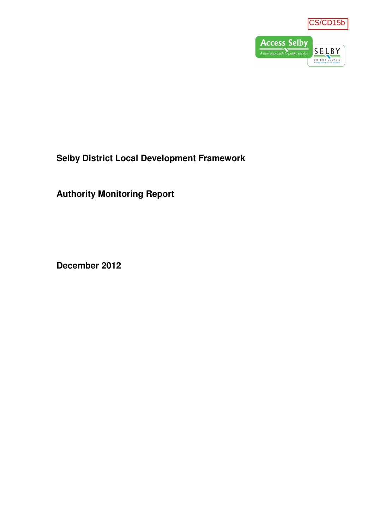



**Selby District Local Development Framework** 

**Authority Monitoring Report** 

**December 2012**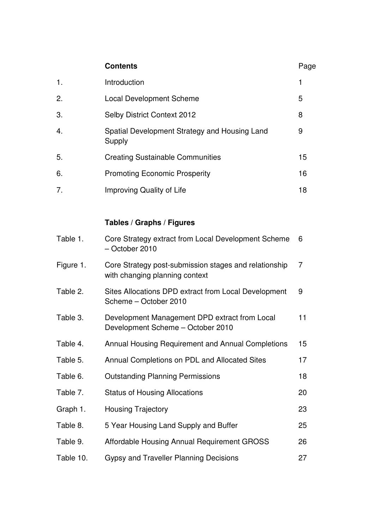|           | <b>Contents</b>                                                                         | Page |
|-----------|-----------------------------------------------------------------------------------------|------|
| 1.        | Introduction                                                                            | 1    |
| 2.        | <b>Local Development Scheme</b>                                                         | 5    |
| 3.        | Selby District Context 2012                                                             | 8    |
| 4.        | Spatial Development Strategy and Housing Land<br>Supply                                 | 9    |
| 5.        | <b>Creating Sustainable Communities</b>                                                 | 15   |
| 6.        | <b>Promoting Economic Prosperity</b>                                                    | 16   |
| 7.        | Improving Quality of Life                                                               | 18   |
|           |                                                                                         |      |
|           | Tables / Graphs / Figures                                                               |      |
| Table 1.  | Core Strategy extract from Local Development Scheme<br>- October 2010                   | 6    |
| Figure 1. | Core Strategy post-submission stages and relationship<br>with changing planning context | 7    |
|           |                                                                                         |      |

- Table 2. Sites Allocations DPD extract from Local Development Scheme – October 2010 9
- Table 3. Development Management DPD extract from Local Development Scheme – October 2010 11
- Table 4. Annual Housing Requirement and Annual Completions 15 Table 5. Annual Completions on PDL and Allocated Sites 17
- Table 6. Outstanding Planning Permissions 18 Table 7. Status of Housing Allocations 20 Graph 1. Housing Trajectory **23** Table 8. 5 Year Housing Land Supply and Buffer 25 Table 9. Affordable Housing Annual Requirement GROSS 26 Table 10. Gypsy and Traveller Planning Decisions 27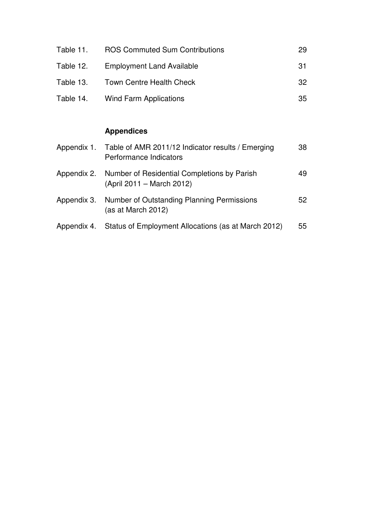| Table 11. | <b>ROS Commuted Sum Contributions</b> | 29  |
|-----------|---------------------------------------|-----|
| Table 12. | <b>Employment Land Available</b>      | -31 |
| Table 13. | <b>Town Centre Health Check</b>       | 32. |
|           | Table 14. Wind Farm Applications      | 35  |

## **Appendices**

| Appendix 1. Table of AMR 2011/12 Indicator results / Emerging<br>Performance Indicators | 38 |
|-----------------------------------------------------------------------------------------|----|
| Appendix 2. Number of Residential Completions by Parish<br>(April 2011 – March 2012)    | 49 |
| Appendix 3. Number of Outstanding Planning Permissions<br>(as at March 2012)            | 52 |
| Appendix 4. Status of Employment Allocations (as at March 2012)                         | 55 |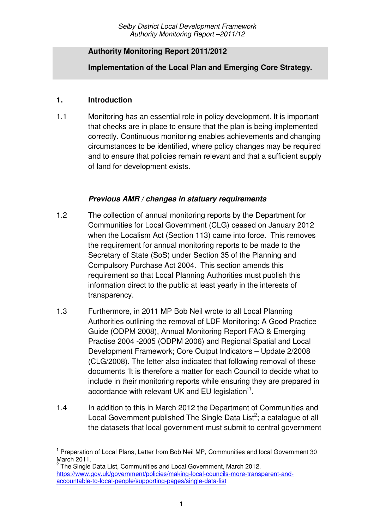#### **Authority Monitoring Report 2011/2012**

**Implementation of the Local Plan and Emerging Core Strategy.**

#### **1. Introduction**

l

1.1 Monitoring has an essential role in policy development. It is important that checks are in place to ensure that the plan is being implemented correctly. Continuous monitoring enables achievements and changing circumstances to be identified, where policy changes may be required and to ensure that policies remain relevant and that a sufficient supply of land for development exists.

## **Previous AMR / changes in statuary requirements**

- 1.2 The collection of annual monitoring reports by the Department for Communities for Local Government (CLG) ceased on January 2012 when the Localism Act (Section 113) came into force. This removes the requirement for annual monitoring reports to be made to the Secretary of State (SoS) under Section 35 of the Planning and Compulsory Purchase Act 2004. This section amends this requirement so that Local Planning Authorities must publish this information direct to the public at least yearly in the interests of transparency.
- 1.3 Furthermore, in 2011 MP Bob Neil wrote to all Local Planning Authorities outlining the removal of LDF Monitoring; A Good Practice Guide (ODPM 2008), Annual Monitoring Report FAQ & Emerging Practise 2004 -2005 (ODPM 2006) and Regional Spatial and Local Development Framework; Core Output Indicators – Update 2/2008 (CLG/2008). The letter also indicated that following removal of these documents 'It is therefore a matter for each Council to decide what to include in their monitoring reports while ensuring they are prepared in accordance with relevant UK and EU legislation $11$ .
- 1.4 In addition to this in March 2012 the Department of Communities and Local Government published The Single Data List<sup>2</sup>; a catalogue of all the datasets that local government must submit to central government

<sup>1</sup> Preperation of Local Plans, Letter from Bob Neil MP, Communities and local Government 30 March 2011.<br><sup>2</sup> The Single Data List, Communities and Local Government, March 2012.

https://www.gov.uk/government/policies/making-local-councils-more-transparent-andaccountable-to-local-people/supporting-pages/single-data-list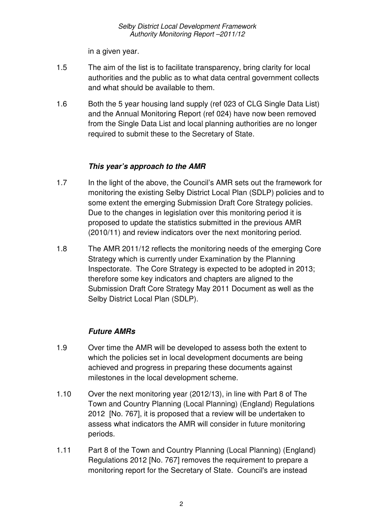in a given year.

- 1.5 The aim of the list is to facilitate transparency, bring clarity for local authorities and the public as to what data central government collects and what should be available to them.
- 1.6 Both the 5 year housing land supply (ref 023 of CLG Single Data List) and the Annual Monitoring Report (ref 024) have now been removed from the Single Data List and local planning authorities are no longer required to submit these to the Secretary of State.

## **This year's approach to the AMR**

- 1.7 In the light of the above, the Council's AMR sets out the framework for monitoring the existing Selby District Local Plan (SDLP) policies and to some extent the emerging Submission Draft Core Strategy policies. Due to the changes in legislation over this monitoring period it is proposed to update the statistics submitted in the previous AMR (2010/11) and review indicators over the next monitoring period.
- 1.8 The AMR 2011/12 reflects the monitoring needs of the emerging Core Strategy which is currently under Examination by the Planning Inspectorate. The Core Strategy is expected to be adopted in 2013; therefore some key indicators and chapters are aligned to the Submission Draft Core Strategy May 2011 Document as well as the Selby District Local Plan (SDLP).

## **Future AMRs**

- 1.9 Over time the AMR will be developed to assess both the extent to which the policies set in local development documents are being achieved and progress in preparing these documents against milestones in the local development scheme.
- 1.10 Over the next monitoring year (2012/13), in line with Part 8 of The Town and Country Planning (Local Planning) (England) Regulations 2012 [No. 767], it is proposed that a review will be undertaken to assess what indicators the AMR will consider in future monitoring periods.
- 1.11 Part 8 of the Town and Country Planning (Local Planning) (England) Regulations 2012 [No. 767] removes the requirement to prepare a monitoring report for the Secretary of State. Council's are instead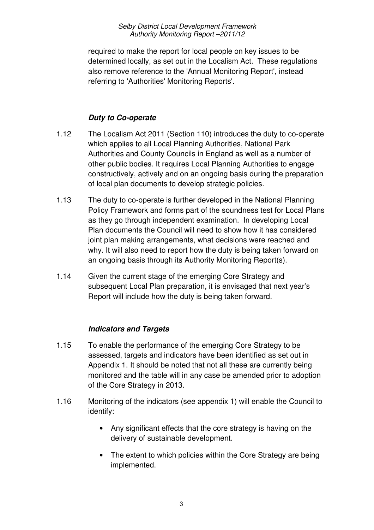required to make the report for local people on key issues to be determined locally, as set out in the Localism Act. These regulations also remove reference to the 'Annual Monitoring Report', instead referring to 'Authorities' Monitoring Reports'.

## **Duty to Co-operate**

- 1.12 The Localism Act 2011 (Section 110) introduces the duty to co-operate which applies to all Local Planning Authorities, National Park Authorities and County Councils in England as well as a number of other public bodies. It requires Local Planning Authorities to engage constructively, actively and on an ongoing basis during the preparation of local plan documents to develop strategic policies.
- 1.13 The duty to co-operate is further developed in the National Planning Policy Framework and forms part of the soundness test for Local Plans as they go through independent examination. In developing Local Plan documents the Council will need to show how it has considered joint plan making arrangements, what decisions were reached and why. It will also need to report how the duty is being taken forward on an ongoing basis through its Authority Monitoring Report(s).
- 1.14 Given the current stage of the emerging Core Strategy and subsequent Local Plan preparation, it is envisaged that next year's Report will include how the duty is being taken forward.

## **Indicators and Targets**

- 1.15 To enable the performance of the emerging Core Strategy to be assessed, targets and indicators have been identified as set out in Appendix 1. It should be noted that not all these are currently being monitored and the table will in any case be amended prior to adoption of the Core Strategy in 2013.
- 1.16 Monitoring of the indicators (see appendix 1) will enable the Council to identify:
	- Any significant effects that the core strategy is having on the delivery of sustainable development.
	- The extent to which policies within the Core Strategy are being implemented.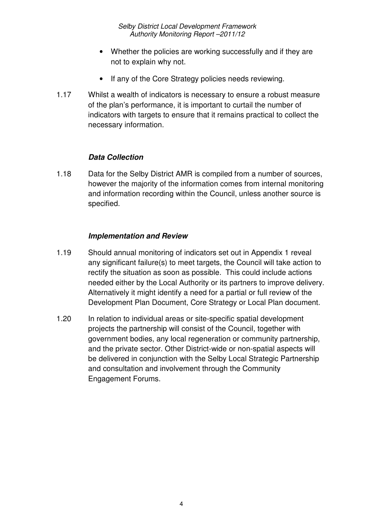- Whether the policies are working successfully and if they are not to explain why not.
- If any of the Core Strategy policies needs reviewing.
- 1.17 Whilst a wealth of indicators is necessary to ensure a robust measure of the plan's performance, it is important to curtail the number of indicators with targets to ensure that it remains practical to collect the necessary information.

#### **Data Collection**

1.18 Data for the Selby District AMR is compiled from a number of sources, however the majority of the information comes from internal monitoring and information recording within the Council, unless another source is specified.

#### **Implementation and Review**

- 1.19 Should annual monitoring of indicators set out in Appendix 1 reveal any significant failure(s) to meet targets, the Council will take action to rectify the situation as soon as possible. This could include actions needed either by the Local Authority or its partners to improve delivery. Alternatively it might identify a need for a partial or full review of the Development Plan Document, Core Strategy or Local Plan document.
- 1.20 In relation to individual areas or site-specific spatial development projects the partnership will consist of the Council, together with government bodies, any local regeneration or community partnership, and the private sector. Other District-wide or non-spatial aspects will be delivered in conjunction with the Selby Local Strategic Partnership and consultation and involvement through the Community Engagement Forums.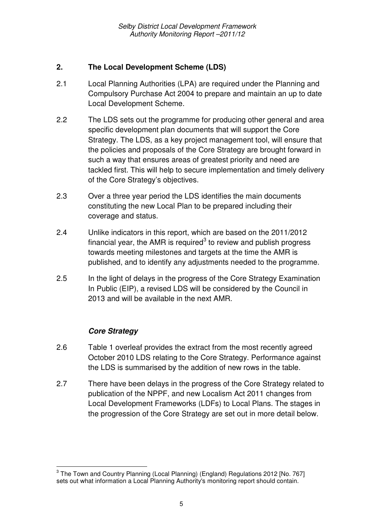## **2. The Local Development Scheme (LDS)**

- 2.1 Local Planning Authorities (LPA) are required under the Planning and Compulsory Purchase Act 2004 to prepare and maintain an up to date Local Development Scheme.
- 2.2 The LDS sets out the programme for producing other general and area specific development plan documents that will support the Core Strategy. The LDS, as a key project management tool, will ensure that the policies and proposals of the Core Strategy are brought forward in such a way that ensures areas of greatest priority and need are tackled first. This will help to secure implementation and timely delivery of the Core Strategy's objectives.
- 2.3 Over a three year period the LDS identifies the main documents constituting the new Local Plan to be prepared including their coverage and status.
- 2.4 Unlike indicators in this report, which are based on the 2011/2012 financial year, the AMR is required<sup>3</sup> to review and publish progress towards meeting milestones and targets at the time the AMR is published, and to identify any adjustments needed to the programme.
- 2.5 In the light of delays in the progress of the Core Strategy Examination In Public (EIP), a revised LDS will be considered by the Council in 2013 and will be available in the next AMR.

## **Core Strategy**

 $\overline{a}$ 

- 2.6 Table 1 overleaf provides the extract from the most recently agreed October 2010 LDS relating to the Core Strategy. Performance against the LDS is summarised by the addition of new rows in the table.
- 2.7 There have been delays in the progress of the Core Strategy related to publication of the NPPF, and new Localism Act 2011 changes from Local Development Frameworks (LDFs) to Local Plans. The stages in the progression of the Core Strategy are set out in more detail below.

 $^3$  The Town and Country Planning (Local Planning) (England) Regulations 2012 [No. 767] sets out what information a Local Planning Authority's monitoring report should contain.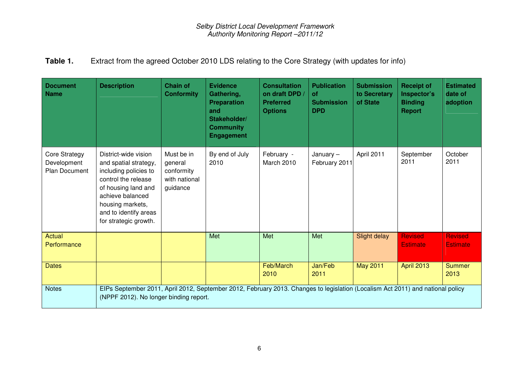## **Table 1.** Extract from the agreed October 2010 LDS relating to the Core Strategy (with updates for info)

| <b>Document</b><br><b>Name</b>                       | <b>Description</b>                                                                                                                                                                                             | <b>Chain of</b><br><b>Conformity</b>                             | <b>Evidence</b><br>Gathering,<br><b>Preparation</b><br>and<br>Stakeholder/<br><b>Community</b><br><b>Engagement</b> | <b>Consultation</b><br>on draft DPD /<br><b>Preferred</b><br><b>Options</b> | <b>Publication</b><br><b>of</b><br><b>Submission</b><br><b>DPD</b> | <b>Submission</b><br>to Secretary<br>of State | <b>Receipt of</b><br>Inspector's<br><b>Binding</b><br><b>Report</b> | <b>Estimated</b><br>date of<br>adoption |
|------------------------------------------------------|----------------------------------------------------------------------------------------------------------------------------------------------------------------------------------------------------------------|------------------------------------------------------------------|---------------------------------------------------------------------------------------------------------------------|-----------------------------------------------------------------------------|--------------------------------------------------------------------|-----------------------------------------------|---------------------------------------------------------------------|-----------------------------------------|
| Core Strategy<br>Development<br><b>Plan Document</b> | District-wide vision<br>and spatial strategy,<br>including policies to<br>control the release<br>of housing land and<br>achieve balanced<br>housing markets,<br>and to identify areas<br>for strategic growth. | Must be in<br>general<br>conformity<br>with national<br>guidance | By end of July<br>2010                                                                                              | February -<br>March 2010                                                    | January $-$<br>February 2011                                       | April 2011                                    | September<br>2011                                                   | October<br>2011                         |
| Actual<br>Performance                                |                                                                                                                                                                                                                |                                                                  | Met                                                                                                                 | Met                                                                         | Met                                                                | Slight delay                                  | <b>Revised</b><br><b>Estimate</b>                                   | <b>Revised</b><br><b>Estimate</b>       |
| <b>Dates</b>                                         |                                                                                                                                                                                                                |                                                                  |                                                                                                                     | Feb/March<br>2010                                                           | Jan/Feb<br>2011                                                    | May 2011                                      | <b>April 2013</b>                                                   | <b>Summer</b><br>2013                   |
| <b>Notes</b>                                         | EIPs September 2011, April 2012, September 2012, February 2013. Changes to legislation (Localism Act 2011) and national policy<br>(NPPF 2012). No longer binding report.                                       |                                                                  |                                                                                                                     |                                                                             |                                                                    |                                               |                                                                     |                                         |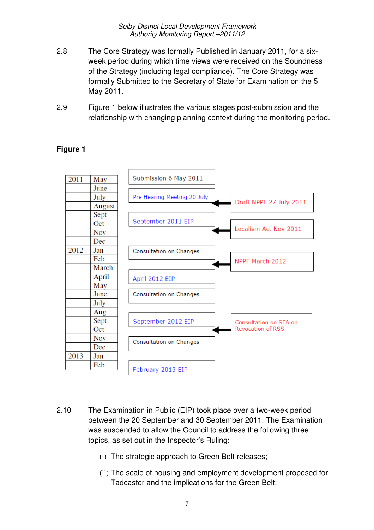- 2.8 The Core Strategy was formally Published in January 2011, for a sixweek period during which time views were received on the Soundness of the Strategy (including legal compliance). The Core Strategy was formally Submitted to the Secretary of State for Examination on the 5 May 2011.
- 2.9 Figure 1 below illustrates the various stages post-submission and the relationship with changing planning context during the monitoring period.

#### Submission 6 May 2011 2011 May June July Pre Hearing Meeting 20 July Draft NPPF 27 July 2011 August Sept September 2011 EIP Oct Localism Act Nov 2011 **Nov** Dec 2012 Jan Consultation on Changes Feb NPPF March 2012 March April April 2012 EIP May June Consultation on Changes July Aug Sept September 2012 EIP Consultation on SEA on **Revocation of RSS** Oct **Nov** Consultation on Changes Dec 2013 Jan Feb February 2013 EIP

#### **Figure 1**

- 2.10 The Examination in Public (EIP) took place over a two-week period between the 20 September and 30 September 2011. The Examination was suspended to allow the Council to address the following three topics, as set out in the Inspector's Ruling:
	- (i) The strategic approach to Green Belt releases;
	- (ii) The scale of housing and employment development proposed for Tadcaster and the implications for the Green Belt;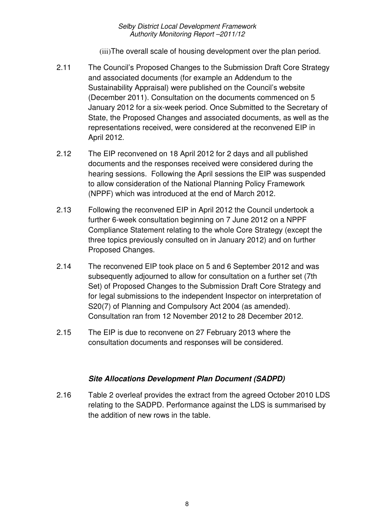(iii)The overall scale of housing development over the plan period.

- 2.11 The Council's Proposed Changes to the Submission Draft Core Strategy and associated documents (for example an Addendum to the Sustainability Appraisal) were published on the Council's website (December 2011). Consultation on the documents commenced on 5 January 2012 for a six-week period. Once Submitted to the Secretary of State, the Proposed Changes and associated documents, as well as the representations received, were considered at the reconvened EIP in April 2012.
- 2.12 The EIP reconvened on 18 April 2012 for 2 days and all published documents and the responses received were considered during the hearing sessions. Following the April sessions the EIP was suspended to allow consideration of the National Planning Policy Framework (NPPF) which was introduced at the end of March 2012.
- 2.13 Following the reconvened EIP in April 2012 the Council undertook a further 6-week consultation beginning on 7 June 2012 on a NPPF Compliance Statement relating to the whole Core Strategy (except the three topics previously consulted on in January 2012) and on further Proposed Changes.
- 2.14 The reconvened EIP took place on 5 and 6 September 2012 and was subsequently adjourned to allow for consultation on a further set (7th Set) of Proposed Changes to the Submission Draft Core Strategy and for legal submissions to the independent Inspector on interpretation of S20(7) of Planning and Compulsory Act 2004 (as amended). Consultation ran from 12 November 2012 to 28 December 2012.
- 2.15 The EIP is due to reconvene on 27 February 2013 where the consultation documents and responses will be considered.

## **Site Allocations Development Plan Document (SADPD)**

2.16 Table 2 overleaf provides the extract from the agreed October 2010 LDS relating to the SADPD. Performance against the LDS is summarised by the addition of new rows in the table.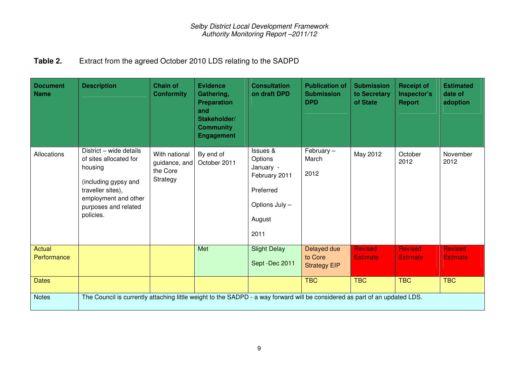## **Table 2.** Extract from the agreed October 2010 LDS relating to the SADPD

| <b>Document</b><br><b>Name</b> | <b>Description</b>                                                                                                                                                     | <b>Chain of</b><br><b>Conformity</b>                   | <b>Evidence</b><br>Gathering,<br><b>Preparation</b><br>and<br>Stakeholder/<br><b>Community</b><br><b>Engagement</b> | <b>Consultation</b><br>on draft DPD                                                                | <b>Publication of</b><br><b>Submission</b><br><b>DPD</b> | <b>Submission</b><br>to Secretary<br>of State | <b>Receipt of</b><br>Inspector's<br><b>Report</b> | <b>Estimated</b><br>date of<br>adoption |
|--------------------------------|------------------------------------------------------------------------------------------------------------------------------------------------------------------------|--------------------------------------------------------|---------------------------------------------------------------------------------------------------------------------|----------------------------------------------------------------------------------------------------|----------------------------------------------------------|-----------------------------------------------|---------------------------------------------------|-----------------------------------------|
| Allocations                    | District - wide details<br>of sites allocated for<br>housing<br>(including gypsy and<br>traveller sites),<br>employment and other<br>purposes and related<br>policies. | With national<br>guidance, and<br>the Core<br>Strategy | By end of<br>October 2011                                                                                           | Issues &<br>Options<br>January -<br>February 2011<br>Preferred<br>Options July -<br>August<br>2011 | February $-$<br>March<br>2012                            | May 2012                                      | October<br>2012                                   | November<br>2012                        |
| Actual                         |                                                                                                                                                                        |                                                        | Met                                                                                                                 | <b>Slight Delay</b>                                                                                | Delayed due                                              | <b>Revised</b>                                | <b>Revised</b>                                    | <b>Revised</b>                          |
| Performance                    |                                                                                                                                                                        |                                                        |                                                                                                                     | Sept -Dec 2011                                                                                     | to Core<br><b>Strategy EIP</b>                           | <b>Estimate</b>                               | <b>Estimate</b>                                   | <b>Estimate</b>                         |
| <b>Dates</b>                   |                                                                                                                                                                        |                                                        |                                                                                                                     |                                                                                                    | <b>TBC</b>                                               | <b>TBC</b>                                    | <b>TBC</b>                                        | <b>TBC</b>                              |
| <b>Notes</b>                   | The Council is currently attaching little weight to the SADPD - a way forward will be considered as part of an updated LDS.                                            |                                                        |                                                                                                                     |                                                                                                    |                                                          |                                               |                                                   |                                         |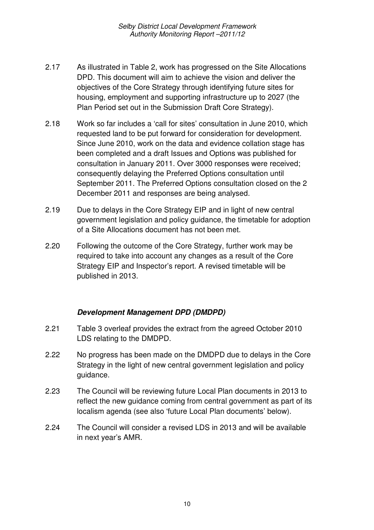- 2.17 As illustrated in Table 2, work has progressed on the Site Allocations DPD. This document will aim to achieve the vision and deliver the objectives of the Core Strategy through identifying future sites for housing, employment and supporting infrastructure up to 2027 (the Plan Period set out in the Submission Draft Core Strategy).
- 2.18 Work so far includes a 'call for sites' consultation in June 2010, which requested land to be put forward for consideration for development. Since June 2010, work on the data and evidence collation stage has been completed and a draft Issues and Options was published for consultation in January 2011. Over 3000 responses were received; consequently delaying the Preferred Options consultation until September 2011. The Preferred Options consultation closed on the 2 December 2011 and responses are being analysed.
- 2.19 Due to delays in the Core Strategy EIP and in light of new central government legislation and policy guidance, the timetable for adoption of a Site Allocations document has not been met.
- 2.20 Following the outcome of the Core Strategy, further work may be required to take into account any changes as a result of the Core Strategy EIP and Inspector's report. A revised timetable will be published in 2013.

#### **Development Management DPD (DMDPD)**

- 2.21 Table 3 overleaf provides the extract from the agreed October 2010 LDS relating to the DMDPD.
- 2.22 No progress has been made on the DMDPD due to delays in the Core Strategy in the light of new central government legislation and policy guidance.
- 2.23 The Council will be reviewing future Local Plan documents in 2013 to reflect the new guidance coming from central government as part of its localism agenda (see also 'future Local Plan documents' below).
- 2.24 The Council will consider a revised LDS in 2013 and will be available in next year's AMR.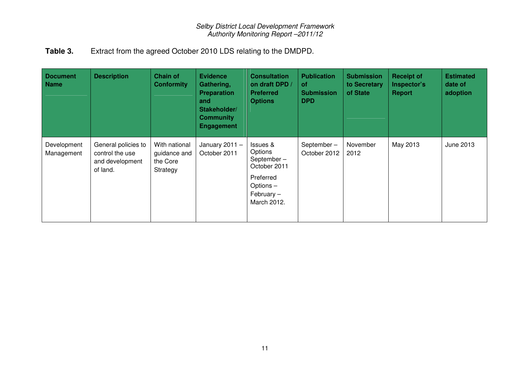## **Table 3.** Extract from the agreed October 2010 LDS relating to the DMDPD.

| <b>Document</b><br><b>Name</b> | <b>Description</b>                                                    | <b>Chain of</b><br><b>Conformity</b>                  | <b>Evidence</b><br>Gathering,<br><b>Preparation</b><br>and<br>Stakeholder/<br><b>Community</b><br><b>Engagement</b> | <b>Consultation</b><br>on draft DPD /<br><b>Preferred</b><br><b>Options</b>                                | <b>Publication</b><br><b>of</b><br><b>Submission</b><br><b>DPD</b> | <b>Submission</b><br>to Secretary<br>of State | <b>Receipt of</b><br>Inspector's<br>Report | <b>Estimated</b><br>date of<br>adoption |
|--------------------------------|-----------------------------------------------------------------------|-------------------------------------------------------|---------------------------------------------------------------------------------------------------------------------|------------------------------------------------------------------------------------------------------------|--------------------------------------------------------------------|-----------------------------------------------|--------------------------------------------|-----------------------------------------|
| Development<br>Management      | General policies to<br>control the use<br>and development<br>of land. | With national<br>guidance and<br>the Core<br>Strategy | January $2011 -$<br>October 2011                                                                                    | Issues &<br>Options<br>September-<br>October 2011<br>Preferred<br>Options -<br>February $-$<br>March 2012. | September-<br>October 2012                                         | November<br>2012                              | May 2013                                   | June 2013                               |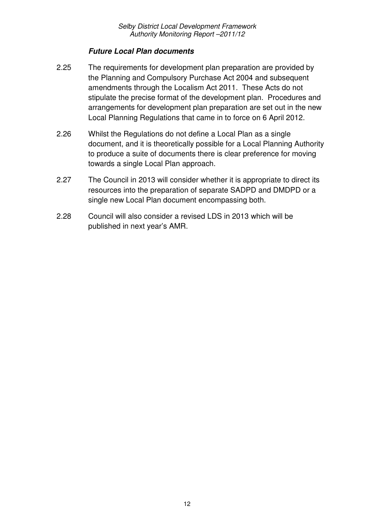#### **Future Local Plan documents**

- 2.25 The requirements for development plan preparation are provided by the Planning and Compulsory Purchase Act 2004 and subsequent amendments through the Localism Act 2011. These Acts do not stipulate the precise format of the development plan. Procedures and arrangements for development plan preparation are set out in the new Local Planning Regulations that came in to force on 6 April 2012.
- 2.26 Whilst the Regulations do not define a Local Plan as a single document, and it is theoretically possible for a Local Planning Authority to produce a suite of documents there is clear preference for moving towards a single Local Plan approach.
- 2.27 The Council in 2013 will consider whether it is appropriate to direct its resources into the preparation of separate SADPD and DMDPD or a single new Local Plan document encompassing both.
- 2.28 Council will also consider a revised LDS in 2013 which will be published in next year's AMR.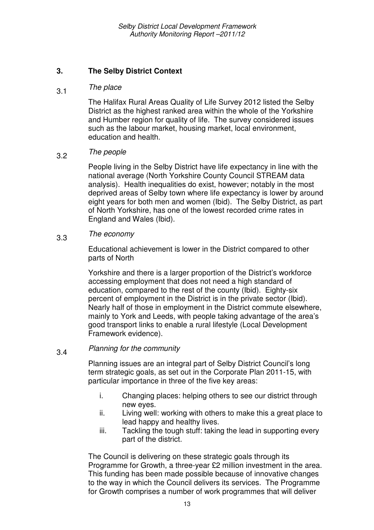#### **3. The Selby District Context**

## 3.1 The place

The Halifax Rural Areas Quality of Life Survey 2012 listed the Selby District as the highest ranked area within the whole of the Yorkshire and Humber region for quality of life. The survey considered issues such as the labour market, housing market, local environment, education and health.

## 3.2 The people

People living in the Selby District have life expectancy in line with the national average (North Yorkshire County Council STREAM data analysis). Health inequalities do exist, however; notably in the most deprived areas of Selby town where life expectancy is lower by around eight years for both men and women (Ibid). The Selby District, as part of North Yorkshire, has one of the lowest recorded crime rates in England and Wales (Ibid).

## 3.3 The economy

Educational achievement is lower in the District compared to other parts of North

Yorkshire and there is a larger proportion of the District's workforce accessing employment that does not need a high standard of education, compared to the rest of the county (Ibid). Eighty-six percent of employment in the District is in the private sector (Ibid). Nearly half of those in employment in the District commute elsewhere, mainly to York and Leeds, with people taking advantage of the area's good transport links to enable a rural lifestyle (Local Development Framework evidence).

## 3.4 Planning for the community

Planning issues are an integral part of Selby District Council's long term strategic goals, as set out in the Corporate Plan 2011-15, with particular importance in three of the five key areas:

- i. Changing places: helping others to see our district through new eyes.
- ii. Living well: working with others to make this a great place to lead happy and healthy lives.
- iii. Tackling the tough stuff: taking the lead in supporting every part of the district.

The Council is delivering on these strategic goals through its Programme for Growth, a three-year £2 million investment in the area. This funding has been made possible because of innovative changes to the way in which the Council delivers its services. The Programme for Growth comprises a number of work programmes that will deliver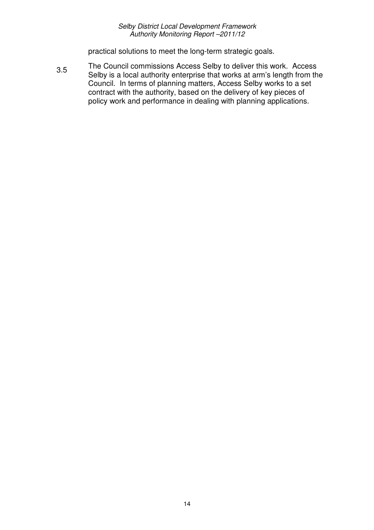practical solutions to meet the long-term strategic goals.

3.5 The Council commissions Access Selby to deliver this work. Access Selby is a local authority enterprise that works at arm's length from the Council. In terms of planning matters, Access Selby works to a set contract with the authority, based on the delivery of key pieces of policy work and performance in dealing with planning applications.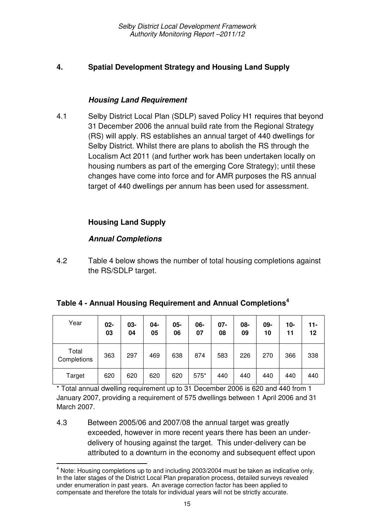#### **4. Spatial Development Strategy and Housing Land Supply**

#### **Housing Land Requirement**

4.1 Selby District Local Plan (SDLP) saved Policy H1 requires that beyond 31 December 2006 the annual build rate from the Regional Strategy (RS) will apply. RS establishes an annual target of 440 dwellings for Selby District. Whilst there are plans to abolish the RS through the Localism Act 2011 (and further work has been undertaken locally on housing numbers as part of the emerging Core Strategy); until these changes have come into force and for AMR purposes the RS annual target of 440 dwellings per annum has been used for assessment.

#### **Housing Land Supply**

#### **Annual Completions**

l

4.2 Table 4 below shows the number of total housing completions against the RS/SDLP target.

| Table 4 - Annual Housing Requirement and Annual Completions <sup>4</sup> |  |
|--------------------------------------------------------------------------|--|
|--------------------------------------------------------------------------|--|

| Year                 | $02 -$<br>03 | $03 -$<br>04 | 04-<br>05 | 05-<br>06 | 06-<br>07 | $07 -$<br>08 | 08-<br>09 | 09-<br>10 | 10-<br>11 | $11 -$<br>12 |
|----------------------|--------------|--------------|-----------|-----------|-----------|--------------|-----------|-----------|-----------|--------------|
| Total<br>Completions | 363          | 297          | 469       | 638       | 874       | 583          | 226       | 270       | 366       | 338          |
| Target               | 620          | 620          | 620       | 620       | 575*      | 440          | 440       | 440       | 440       | 440          |

\* Total annual dwelling requirement up to 31 December 2006 is 620 and 440 from 1 January 2007, providing a requirement of 575 dwellings between 1 April 2006 and 31 March 2007.

4.3 Between 2005/06 and 2007/08 the annual target was greatly exceeded, however in more recent years there has been an underdelivery of housing against the target. This under-delivery can be attributed to a downturn in the economy and subsequent effect upon

 $<sup>4</sup>$  Note: Housing completions up to and including 2003/2004 must be taken as indicative only.</sup> In the later stages of the District Local Plan preparation process, detailed surveys revealed under enumeration in past years. An average correction factor has been applied to compensate and therefore the totals for individual years will not be strictly accurate.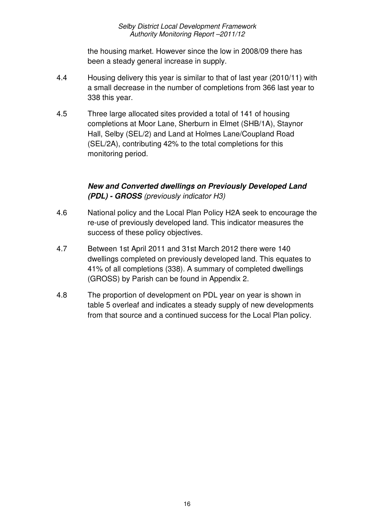the housing market. However since the low in 2008/09 there has been a steady general increase in supply.

- 4.4 Housing delivery this year is similar to that of last year (2010/11) with a small decrease in the number of completions from 366 last year to 338 this year.
- 4.5 Three large allocated sites provided a total of 141 of housing completions at Moor Lane, Sherburn in Elmet (SHB/1A), Staynor Hall, Selby (SEL/2) and Land at Holmes Lane/Coupland Road (SEL/2A), contributing 42% to the total completions for this monitoring period.

#### **New and Converted dwellings on Previously Developed Land (PDL) - GROSS** (previously indicator H3)

- 4.6 National policy and the Local Plan Policy H2A seek to encourage the re-use of previously developed land. This indicator measures the success of these policy objectives.
- 4.7 Between 1st April 2011 and 31st March 2012 there were 140 dwellings completed on previously developed land. This equates to 41% of all completions (338). A summary of completed dwellings (GROSS) by Parish can be found in Appendix 2.
- 4.8 The proportion of development on PDL year on year is shown in table 5 overleaf and indicates a steady supply of new developments from that source and a continued success for the Local Plan policy.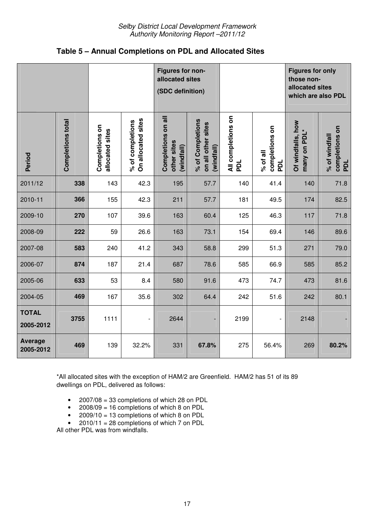|  |  | Table 5 – Annual Completions on PDL and Allocated Sites |
|--|--|---------------------------------------------------------|
|--|--|---------------------------------------------------------|

|                             |                   |                                   |                                        | Figures for non-<br>allocated sites<br>(SDC definition) |                                                      |                           |                                   | <b>Figures for only</b><br>those non-<br>allocated sites<br>which are also PDL |                                        |
|-----------------------------|-------------------|-----------------------------------|----------------------------------------|---------------------------------------------------------|------------------------------------------------------|---------------------------|-----------------------------------|--------------------------------------------------------------------------------|----------------------------------------|
| Period                      | Completions total | Completions on<br>allocated sites | On allocated sites<br>% of completions | Completions on all<br>other sites<br>(windfall)         | % of Completions<br>on all other sites<br>(windfall) | All completions on<br>PDL | completions on<br>% of all<br>PDL | Of windfalls, how<br>many on PDL                                               | completions on<br>% of windfall<br>PDL |
| 2011/12                     | 338               | 143                               | 42.3                                   | 195                                                     | 57.7                                                 | 140                       | 41.4                              | 140                                                                            | 71.8                                   |
| 2010-11                     | 366               | 155                               | 42.3                                   | 211                                                     | 57.7                                                 | 181                       | 49.5                              | 174                                                                            | 82.5                                   |
| 2009-10                     | 270               | 107                               | 39.6                                   | 163                                                     | 60.4                                                 | 125                       | 46.3                              | 117                                                                            | 71.8                                   |
| 2008-09                     | 222               | 59                                | 26.6                                   | 163                                                     | 73.1                                                 | 154                       | 69.4                              | 146                                                                            | 89.6                                   |
| 2007-08                     | 583               | 240                               | 41.2                                   | 343                                                     | 58.8                                                 | 299                       | 51.3                              | 271                                                                            | 79.0                                   |
| 2006-07                     | 874               | 187                               | 21.4                                   | 687                                                     | 78.6                                                 | 585                       | 66.9                              | 585                                                                            | 85.2                                   |
| 2005-06                     | 633               | 53                                | 8.4                                    | 580                                                     | 91.6                                                 | 473                       | 74.7                              | 473                                                                            | 81.6                                   |
| 2004-05                     | 469               | 167                               | 35.6                                   | 302                                                     | 64.4                                                 | 242                       | 51.6                              | 242                                                                            | 80.1                                   |
| <b>TOTAL</b><br>2005-2012   | 3755              | 1111                              | $\overline{\phantom{a}}$               | 2644                                                    | $\overline{\phantom{0}}$                             | 2199                      | $\qquad \qquad -$                 | 2148                                                                           |                                        |
| <b>Average</b><br>2005-2012 | 469               | 139                               | 32.2%                                  | 331                                                     | 67.8%                                                | 275                       | 56.4%                             | 269                                                                            | 80.2%                                  |

\*All allocated sites with the exception of HAM/2 are Greenfield. HAM/2 has 51 of its 89 dwellings on PDL, delivered as follows:

- 2007/08 = 33 completions of which 28 on PDL
- 2008/09 = 16 completions of which 8 on PDL
- 2009/10 = 13 completions of which 8 on PDL
- $2010/11 = 28$  completions of which 7 on PDL

All other PDL was from windfalls.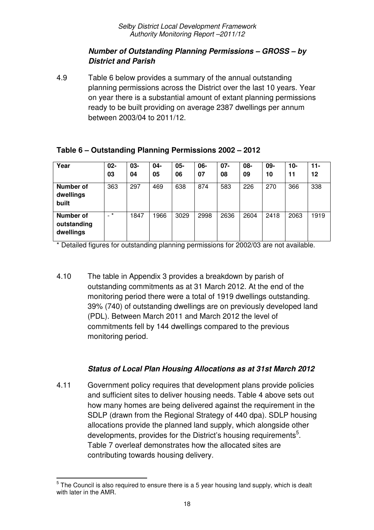### **Number of Outstanding Planning Permissions – GROSS – by District and Parish**

4.9 Table 6 below provides a summary of the annual outstanding planning permissions across the District over the last 10 years. Year on year there is a substantial amount of extant planning permissions ready to be built providing on average 2387 dwellings per annum between 2003/04 to 2011/12.

| Table 6 – Outstanding Planning Permissions 2002 – 2012 |  |
|--------------------------------------------------------|--|
|--------------------------------------------------------|--|

| Year                                   | $02 -$<br>03             | $03 -$<br>04 | $04 -$<br>05 | $05 -$<br>06 | $06-$<br>07 | $07 -$<br>08 | 08-<br>09 | 09-<br>10 | $10 -$<br>11 | $11 -$<br>12 |
|----------------------------------------|--------------------------|--------------|--------------|--------------|-------------|--------------|-----------|-----------|--------------|--------------|
| <b>Number of</b><br>dwellings<br>built | 363                      | 297          | 469          | 638          | 874         | 583          | 226       | 270       | 366          | 338          |
| Number of<br>outstanding<br>dwellings  | $\overline{\phantom{a}}$ | 1847         | 1966         | 3029         | 2998        | 2636         | 2604      | 2418      | 2063         | 1919         |

\* Detailed figures for outstanding planning permissions for 2002/03 are not available.

4.10 The table in Appendix 3 provides a breakdown by parish of outstanding commitments as at 31 March 2012. At the end of the monitoring period there were a total of 1919 dwellings outstanding. 39% (740) of outstanding dwellings are on previously developed land (PDL). Between March 2011 and March 2012 the level of commitments fell by 144 dwellings compared to the previous monitoring period.

## **Status of Local Plan Housing Allocations as at 31st March 2012**

4.11 Government policy requires that development plans provide policies and sufficient sites to deliver housing needs. Table 4 above sets out how many homes are being delivered against the requirement in the SDLP (drawn from the Regional Strategy of 440 dpa). SDLP housing allocations provide the planned land supply, which alongside other developments, provides for the District's housing requirements<sup>5</sup>. Table 7 overleaf demonstrates how the allocated sites are contributing towards housing delivery.

 $\overline{a}$ 

 $5$  The Council is also required to ensure there is a 5 year housing land supply, which is dealt with later in the AMR.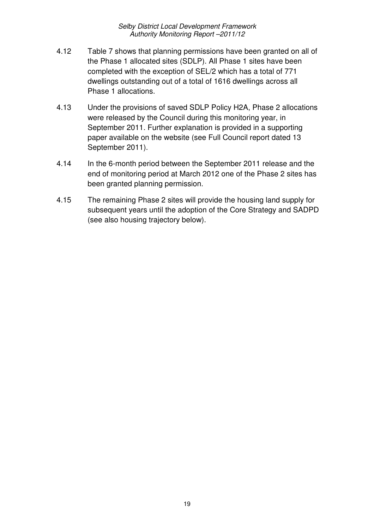- 4.12 Table 7 shows that planning permissions have been granted on all of the Phase 1 allocated sites (SDLP). All Phase 1 sites have been completed with the exception of SEL/2 which has a total of 771 dwellings outstanding out of a total of 1616 dwellings across all Phase 1 allocations.
- 4.13 Under the provisions of saved SDLP Policy H2A, Phase 2 allocations were released by the Council during this monitoring year, in September 2011. Further explanation is provided in a supporting paper available on the website (see Full Council report dated 13 September 2011).
- 4.14 In the 6-month period between the September 2011 release and the end of monitoring period at March 2012 one of the Phase 2 sites has been granted planning permission.
- 4.15 The remaining Phase 2 sites will provide the housing land supply for subsequent years until the adoption of the Core Strategy and SADPD (see also housing trajectory below).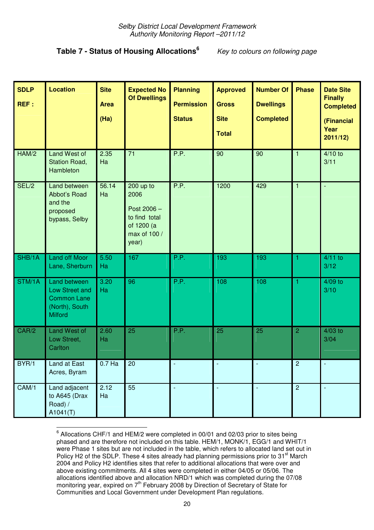## **Table 7 - Status of Housing Allocations<sup>6</sup>**

Key to colours on following page

| <b>SDLP</b><br>REF: | <b>Location</b>                                                                          | <b>Site</b><br><b>Area</b><br>(Ha) | <b>Expected No</b><br><b>Of Dwellings</b>                                                  | <b>Planning</b><br><b>Permission</b><br><b>Status</b> | <b>Approved</b><br><b>Gross</b><br><b>Site</b><br><b>Total</b> | <b>Number Of</b><br><b>Dwellings</b><br><b>Completed</b> | <b>Phase</b>   | <b>Date Site</b><br><b>Finally</b><br><b>Completed</b><br>(Financial<br>Year<br>2011/12) |
|---------------------|------------------------------------------------------------------------------------------|------------------------------------|--------------------------------------------------------------------------------------------|-------------------------------------------------------|----------------------------------------------------------------|----------------------------------------------------------|----------------|------------------------------------------------------------------------------------------|
| HAM/2               | <b>Land West of</b><br>Station Road,<br>Hambleton                                        | 2.35<br>Ha                         | 71                                                                                         | P.P.                                                  | 90                                                             | 90                                                       | 1              | $4/10$ to<br>3/11                                                                        |
| SEL/2               | Land between<br>Abbot's Road<br>and the<br>proposed<br>bypass, Selby                     | 56.14<br>Ha                        | $200$ up to<br>2006<br>Post 2006 -<br>to find total<br>of 1200 (a<br>max of 100 /<br>year) | P.P.                                                  | 1200                                                           | 429                                                      | $\mathbf{1}$   | ÷,                                                                                       |
| SHB/1A              | <b>Land off Moor</b><br>Lane, Sherburn                                                   | 5.50<br>Ha                         | 167                                                                                        | P.P.                                                  | 193                                                            | 193                                                      | 1              | $4/11$ to<br>3/12                                                                        |
| STM/1A              | Land between<br>Low Street and<br><b>Common Lane</b><br>(North), South<br><b>Milford</b> | 3.20<br>Ha                         | $\overline{96}$                                                                            | P.P.                                                  | 108                                                            | 108                                                      |                | $4/09$ to<br>3/10                                                                        |
| CAR/2               | Land West of<br>Low Street,<br>Carlton                                                   | 2.60<br>Ha                         | 25                                                                                         | P.P.                                                  | 25                                                             | 25                                                       | $\overline{2}$ | $4/03$ to<br>3/04                                                                        |
| BYR/1               | Land at East<br>Acres, Byram                                                             | $0.7$ Ha                           | $20\,$                                                                                     |                                                       |                                                                |                                                          | $\sqrt{2}$     |                                                                                          |
| CAM/1               | Land adjacent<br>to A645 (Drax<br>Road) /<br>A1041(T)                                    | 2.12<br>Ha                         | 55                                                                                         |                                                       |                                                                | ÷,                                                       | $\overline{2}$ |                                                                                          |

 $^6$  Allocations CHF/1 and HEM/2 were completed in 00/01 and 02/03 prior to sites being phased and are therefore not included on this table. HEM/1, MONK/1, EGG/1 and WHIT/1 were Phase 1 sites but are not included in the table, which refers to allocated land set out in Policy H2 of the SDLP. These 4 sites already had planning permissions prior to 31<sup>st</sup> March 2004 and Policy H2 identifies sites that refer to additional allocations that were over and above existing commitments. All 4 sites were completed in either 04/05 or 05/06. The allocations identified above and allocation NRD/1 which was completed during the 07/08 monitoring year, expired on 7<sup>th</sup> February 2008 by Direction of Secretary of State for Communities and Local Government under Development Plan regulations.

l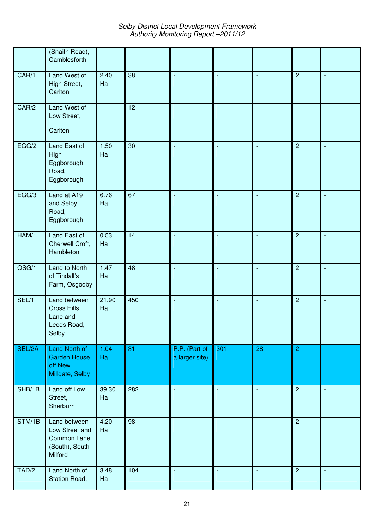Selby District Local Development Framework Authority Monitoring Report –2011/12

|        | (Snaith Road),<br>Camblesforth                                             |             |     |                                 |                             |                          |                |                |
|--------|----------------------------------------------------------------------------|-------------|-----|---------------------------------|-----------------------------|--------------------------|----------------|----------------|
| CAR/1  | Land West of<br>High Street,<br>Carlton                                    | 2.40<br>Ha  | 38  | $\blacksquare$                  | $\blacksquare$              | $\sim$                   | $\overline{2}$ | $\blacksquare$ |
| CAR/2  | Land West of<br>Low Street,<br>Carlton                                     |             | 12  |                                 |                             |                          |                |                |
| EGG/2  | Land East of<br>High<br>Eggborough<br>Road,<br>Eggborough                  | 1.50<br>Ha  | 30  | $\blacksquare$                  | $\blacksquare$              | $\blacksquare$           | $\overline{2}$ | $\blacksquare$ |
| EGG/3  | Land at A19<br>and Selby<br>Road,<br>Eggborough                            | 6.76<br>Ha  | 67  | $\blacksquare$                  | $\blacksquare$              | $\overline{\phantom{a}}$ | $\overline{2}$ | $\blacksquare$ |
| HAM/1  | Land East of<br>Cherwell Croft,<br>Hambleton                               | 0.53<br>Ha  | 14  | $\sim$                          | $\blacksquare$              |                          | $\overline{2}$ |                |
| OSG/1  | Land to North<br>of Tindall's<br>Farm, Osgodby                             | 1.47<br>Ha  | 48  | $\sim$                          | $\blacksquare$              |                          | $\overline{2}$ | $\blacksquare$ |
| SEL/1  | Land between<br><b>Cross Hills</b><br>Lane and<br>Leeds Road,<br>Selby     | 21.90<br>Ha | 450 | $\overline{\phantom{a}}$        | $\blacksquare$              |                          | $\overline{2}$ | $\blacksquare$ |
| SEL/2A | Land North of<br>Garden House,<br>off New<br>Millgate, Selby               | 1.04<br>Ha  | 31  | P.P. (Part of<br>a larger site) | 301                         | 28                       | $\overline{2}$ |                |
| SHB/1B | Land off Low<br>Street,<br>Sherburn                                        | 39.30<br>Ha | 282 | $\blacksquare$                  | $\overline{\phantom{a}}$    |                          | $\overline{2}$ | $\Box$         |
| STM/1B | Land between<br>Low Street and<br>Common Lane<br>(South), South<br>Milford | 4.20<br>Ha  | 98  | $\overline{\phantom{a}}$        | $\sim$                      | $\sim$                   | $\overline{2}$ | $\blacksquare$ |
| TAD/2  | Land North of<br>Station Road,                                             | 3.48<br>Ha  | 104 | $\mathbb{Z}$                    | $\mathcal{L}_{\mathcal{A}}$ | $\sim$                   | $\overline{c}$ | $\Box$         |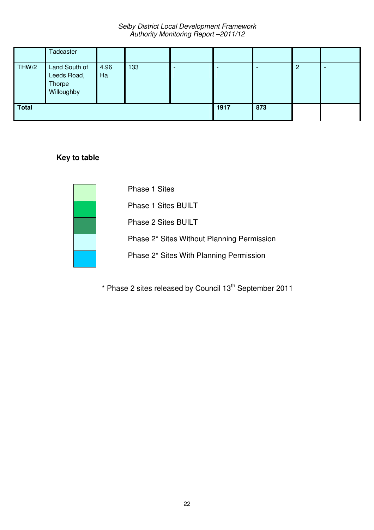|              | Tadcaster                                            |            |     |  |      |     |   |  |
|--------------|------------------------------------------------------|------------|-----|--|------|-----|---|--|
| THW/2        | Land South of<br>Leeds Road,<br>Thorpe<br>Willoughby | 4.96<br>Ha | 133 |  |      |     | 2 |  |
| <b>Total</b> |                                                      |            |     |  | 1917 | 873 |   |  |

#### **Key to table**



\* Phase 2 sites released by Council 13th September 2011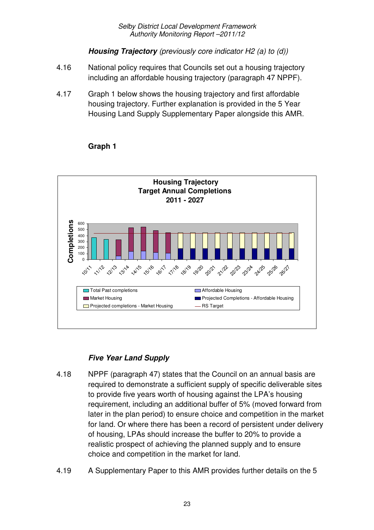**Housing Trajectory** (previously core indicator H2 (a) to (d))

- 4.16 National policy requires that Councils set out a housing trajectory including an affordable housing trajectory (paragraph 47 NPPF).
- 4.17 Graph 1 below shows the housing trajectory and first affordable housing trajectory. Further explanation is provided in the 5 Year Housing Land Supply Supplementary Paper alongside this AMR.



#### **Graph 1**

## **Five Year Land Supply**

- 4.18 NPPF (paragraph 47) states that the Council on an annual basis are required to demonstrate a sufficient supply of specific deliverable sites to provide five years worth of housing against the LPA's housing requirement, including an additional buffer of 5% (moved forward from later in the plan period) to ensure choice and competition in the market for land. Or where there has been a record of persistent under delivery of housing, LPAs should increase the buffer to 20% to provide a realistic prospect of achieving the planned supply and to ensure choice and competition in the market for land.
- 4.19 A Supplementary Paper to this AMR provides further details on the 5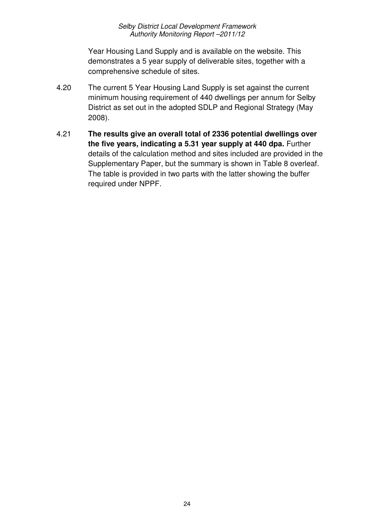Year Housing Land Supply and is available on the website. This demonstrates a 5 year supply of deliverable sites, together with a comprehensive schedule of sites.

- 4.20 The current 5 Year Housing Land Supply is set against the current minimum housing requirement of 440 dwellings per annum for Selby District as set out in the adopted SDLP and Regional Strategy (May 2008).
- 4.21 **The results give an overall total of 2336 potential dwellings over the five years, indicating a 5.31 year supply at 440 dpa.** Further details of the calculation method and sites included are provided in the Supplementary Paper, but the summary is shown in Table 8 overleaf. The table is provided in two parts with the latter showing the buffer required under NPPF.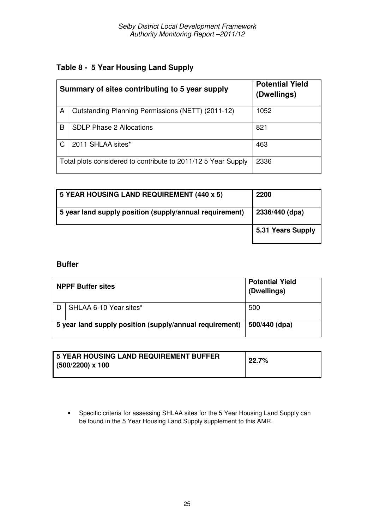|   | Summary of sites contributing to 5 year supply                | <b>Potential Yield</b><br>(Dwellings) |
|---|---------------------------------------------------------------|---------------------------------------|
| A | Outstanding Planning Permissions (NETT) (2011-12)             | 1052                                  |
| B | <b>SDLP Phase 2 Allocations</b>                               | 821                                   |
| C | 2011 SHLAA sites*                                             | 463                                   |
|   | Total plots considered to contribute to 2011/12 5 Year Supply | 2336                                  |

| 5 YEAR HOUSING LAND REQUIREMENT (440 x 5)               | 2200              |
|---------------------------------------------------------|-------------------|
| 5 year land supply position (supply/annual requirement) | 2336/440 (dpa)    |
|                                                         | 5.31 Years Supply |

#### **Buffer**

| <b>NPPF Buffer sites</b>                                | <b>Potential Yield</b><br>(Dwellings) |
|---------------------------------------------------------|---------------------------------------|
| SHLAA 6-10 Year sites*                                  | 500                                   |
|                                                         |                                       |
| 5 year land supply position (supply/annual requirement) | 500/440 (dpa)                         |

| I 5 YEAR HOUSING LAND REQUIREMENT BUFFER | 22.7% |
|------------------------------------------|-------|
| $(500/2200)$ x 100                       |       |
|                                          |       |

• Specific criteria for assessing SHLAA sites for the 5 Year Housing Land Supply can be found in the 5 Year Housing Land Supply supplement to this AMR.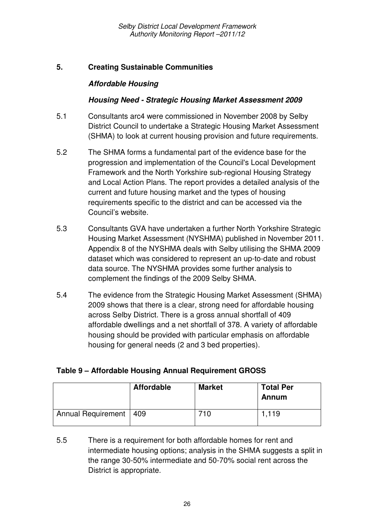#### **5. Creating Sustainable Communities**

#### **Affordable Housing**

#### **Housing Need - Strategic Housing Market Assessment 2009**

- 5.1 Consultants arc4 were commissioned in November 2008 by Selby District Council to undertake a Strategic Housing Market Assessment (SHMA) to look at current housing provision and future requirements.
- 5.2 The SHMA forms a fundamental part of the evidence base for the progression and implementation of the Council's Local Development Framework and the North Yorkshire sub-regional Housing Strategy and Local Action Plans. The report provides a detailed analysis of the current and future housing market and the types of housing requirements specific to the district and can be accessed via the Council's website.
- 5.3 Consultants GVA have undertaken a further North Yorkshire Strategic Housing Market Assessment (NYSHMA) published in November 2011. Appendix 8 of the NYSHMA deals with Selby utilising the SHMA 2009 dataset which was considered to represent an up-to-date and robust data source. The NYSHMA provides some further analysis to complement the findings of the 2009 Selby SHMA.
- 5.4 The evidence from the Strategic Housing Market Assessment (SHMA) 2009 shows that there is a clear, strong need for affordable housing across Selby District. There is a gross annual shortfall of 409 affordable dwellings and a net shortfall of 378. A variety of affordable housing should be provided with particular emphasis on affordable housing for general needs (2 and 3 bed properties).

|                          | <b>Affordable</b> | <b>Market</b> | <b>Total Per</b><br>Annum |
|--------------------------|-------------------|---------------|---------------------------|
| Annual Requirement   409 |                   | 710           | 1,119                     |

#### **Table 9 – Affordable Housing Annual Requirement GROSS**

<sup>5.5</sup> There is a requirement for both affordable homes for rent and intermediate housing options; analysis in the SHMA suggests a split in the range 30-50% intermediate and 50-70% social rent across the District is appropriate.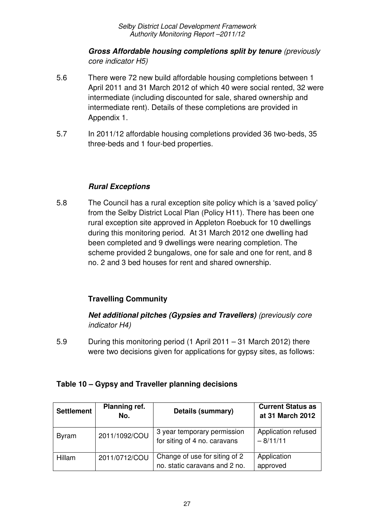#### **Gross Affordable housing completions split by tenure** (previously core indicator H5)

- 5.6 There were 72 new build affordable housing completions between 1 April 2011 and 31 March 2012 of which 40 were social rented, 32 were intermediate (including discounted for sale, shared ownership and intermediate rent). Details of these completions are provided in Appendix 1.
- 5.7 In 2011/12 affordable housing completions provided 36 two-beds, 35 three-beds and 1 four-bed properties.

## **Rural Exceptions**

5.8 The Council has a rural exception site policy which is a 'saved policy' from the Selby District Local Plan (Policy H11). There has been one rural exception site approved in Appleton Roebuck for 10 dwellings during this monitoring period. At 31 March 2012 one dwelling had been completed and 9 dwellings were nearing completion. The scheme provided 2 bungalows, one for sale and one for rent, and 8 no. 2 and 3 bed houses for rent and shared ownership.

## **Travelling Community**

**Net additional pitches (Gypsies and Travellers)** (previously core indicator H4)

5.9 During this monitoring period (1 April 2011 – 31 March 2012) there were two decisions given for applications for gypsy sites, as follows:

| <b>Settlement</b> | Planning ref.<br>No. | Details (summary)                                              | <b>Current Status as</b><br>at 31 March 2012 |
|-------------------|----------------------|----------------------------------------------------------------|----------------------------------------------|
| <b>Byram</b>      | 2011/1092/COU        | 3 year temporary permission<br>for siting of 4 no. caravans    | Application refused<br>$-8/11/11$            |
| Hillam            | 2011/0712/COU        | Change of use for siting of 2<br>no. static caravans and 2 no. | Application<br>approved                      |

## **Table 10 – Gypsy and Traveller planning decisions**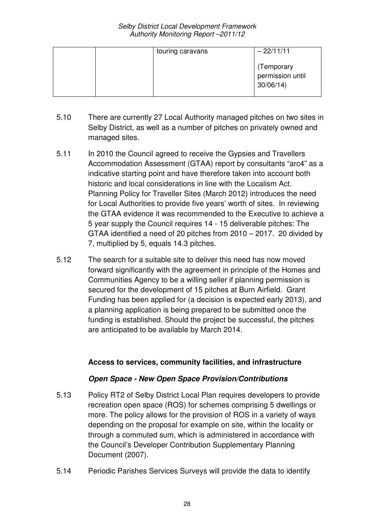| touring caravans | $-22/11/11$                                |
|------------------|--------------------------------------------|
|                  | (Temporary<br>permission until<br>30/06/14 |

- 5.10 There are currently 27 Local Authority managed pitches on two sites in Selby District, as well as a number of pitches on privately owned and managed sites.
- 5.11 In 2010 the Council agreed to receive the Gypsies and Travellers Accommodation Assessment (GTAA) report by consultants "arc4" as a indicative starting point and have therefore taken into account both historic and local considerations in line with the Localism Act. Planning Policy for Traveller Sites (March 2012) introduces the need for Local Authorities to provide five years' worth of sites. In reviewing the GTAA evidence it was recommended to the Executive to achieve a 5 year supply the Council requires 14 - 15 deliverable pitches: The GTAA identified a need of 20 pitches from 2010 – 2017. 20 divided by 7, multiplied by 5, equals 14.3 pitches.
- 5.12 The search for a suitable site to deliver this need has now moved forward significantly with the agreement in principle of the Homes and Communities Agency to be a willing seller if planning permission is secured for the development of 15 pitches at Burn Airfield. Grant Funding has been applied for (a decision is expected early 2013), and a planning application is being prepared to be submitted once the funding is established. Should the project be successful, the pitches are anticipated to be available by March 2014.

#### **Access to services, community facilities, and infrastructure**

#### **Open Space - New Open Space Provision/Contributions**

- 5.13 Policy RT2 of Selby District Local Plan requires developers to provide recreation open space (ROS) for schemes comprising 5 dwellings or more. The policy allows for the provision of ROS in a variety of ways depending on the proposal for example on site, within the locality or through a commuted sum, which is administered in accordance with the Council's Developer Contribution Supplementary Planning Document (2007).
- 5.14 Periodic Parishes Services Surveys will provide the data to identify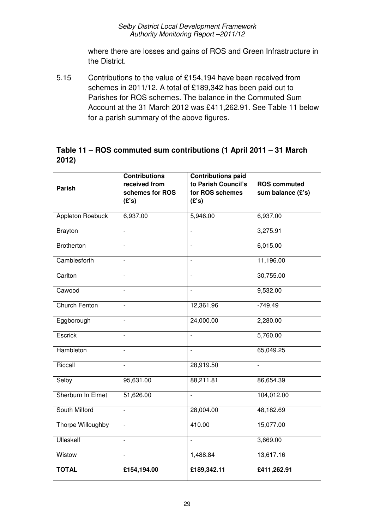where there are losses and gains of ROS and Green Infrastructure in the District.

5.15 Contributions to the value of £154,194 have been received from schemes in 2011/12. A total of £189,342 has been paid out to Parishes for ROS schemes. The balance in the Commuted Sum Account at the 31 March 2012 was £411,262.91. See Table 11 below for a parish summary of the above figures.

#### **Table 11 – ROS commuted sum contributions (1 April 2011 – 31 March 2012)**

| <b>Parish</b>           | <b>Contributions</b><br>received from | <b>Contributions paid</b><br>to Parish Council's | <b>ROS commuted</b> |
|-------------------------|---------------------------------------|--------------------------------------------------|---------------------|
|                         | schemes for ROS<br>(E's)              | for ROS schemes<br>(E's)                         | sum balance (£'s)   |
| <b>Appleton Roebuck</b> | 6,937.00                              | 5,946.00                                         | 6,937.00            |
| <b>Brayton</b>          | $\overline{a}$                        | $\overline{\phantom{a}}$                         | 3,275.91            |
| <b>Brotherton</b>       | $\overline{\phantom{a}}$              | $\overline{\phantom{0}}$                         | 6,015.00            |
| Camblesforth            | $\overline{a}$                        | $\overline{a}$                                   | 11,196.00           |
| Carlton                 | $\frac{1}{2}$                         | $\overline{\phantom{0}}$                         | 30,755.00           |
| Cawood                  | $\overline{a}$                        |                                                  | 9,532.00            |
| <b>Church Fenton</b>    | $\overline{\phantom{a}}$              | 12,361.96                                        | $-749.49$           |
| Eggborough              | $\overline{\phantom{a}}$              | 24,000.00                                        | 2,280.00            |
| Escrick                 | $\overline{a}$                        | $\overline{a}$                                   | 5,760.00            |
| Hambleton               | $\overline{\phantom{a}}$              | $\frac{1}{2}$                                    | 65,049.25           |
| Riccall                 |                                       | 28,919.50                                        |                     |
| Selby                   | 95,631.00                             | 88,211.81                                        | 86,654.39           |
| Sherburn In Elmet       | 51,626.00                             | $\overline{a}$                                   | 104,012.00          |
| South Milford           | $\overline{a}$                        | 28,004.00                                        | 48,182.69           |
| Thorpe Willoughby       | $\frac{1}{2}$                         | 410.00                                           | 15,077.00           |
| <b>Ulleskelf</b>        | $\blacksquare$                        |                                                  | 3,669.00            |
| Wistow                  | $\overline{a}$                        | 1,488.84                                         | 13,617.16           |
| <b>TOTAL</b>            | £154,194.00                           | £189,342.11                                      | £411,262.91         |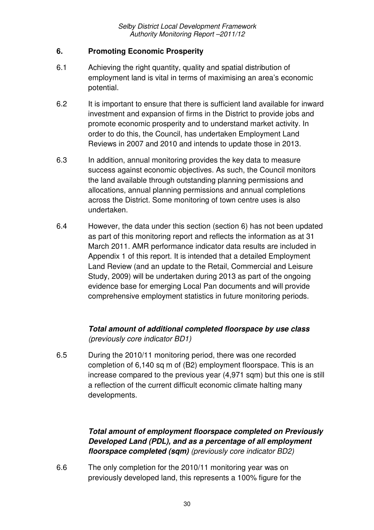#### **6. Promoting Economic Prosperity**

- 6.1 Achieving the right quantity, quality and spatial distribution of employment land is vital in terms of maximising an area's economic potential.
- 6.2 It is important to ensure that there is sufficient land available for inward investment and expansion of firms in the District to provide jobs and promote economic prosperity and to understand market activity. In order to do this, the Council, has undertaken Employment Land Reviews in 2007 and 2010 and intends to update those in 2013.
- 6.3 In addition, annual monitoring provides the key data to measure success against economic objectives. As such, the Council monitors the land available through outstanding planning permissions and allocations, annual planning permissions and annual completions across the District. Some monitoring of town centre uses is also undertaken.
- 6.4 However, the data under this section (section 6) has not been updated as part of this monitoring report and reflects the information as at 31 March 2011. AMR performance indicator data results are included in Appendix 1 of this report. It is intended that a detailed Employment Land Review (and an update to the Retail, Commercial and Leisure Study, 2009) will be undertaken during 2013 as part of the ongoing evidence base for emerging Local Pan documents and will provide comprehensive employment statistics in future monitoring periods.

## **Total amount of additional completed floorspace by use class** (previously core indicator BD1)

6.5 During the 2010/11 monitoring period, there was one recorded completion of 6,140 sq m of (B2) employment floorspace. This is an increase compared to the previous year (4,971 sqm) but this one is still a reflection of the current difficult economic climate halting many developments.

## **Total amount of employment floorspace completed on Previously Developed Land (PDL), and as a percentage of all employment floorspace completed (sqm)** (previously core indicator BD2)

6.6 The only completion for the 2010/11 monitoring year was on previously developed land, this represents a 100% figure for the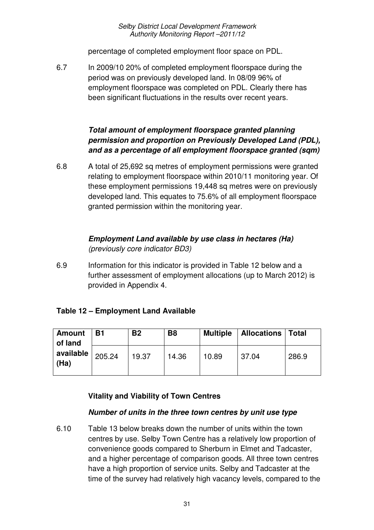percentage of completed employment floor space on PDL.

6.7 In 2009/10 20% of completed employment floorspace during the period was on previously developed land. In 08/09 96% of employment floorspace was completed on PDL. Clearly there has been significant fluctuations in the results over recent years.

#### **Total amount of employment floorspace granted planning permission and proportion on Previously Developed Land (PDL), and as a percentage of all employment floorspace granted (sqm)**

6.8 A total of 25,692 sq metres of employment permissions were granted relating to employment floorspace within 2010/11 monitoring year. Of these employment permissions 19,448 sq metres were on previously developed land. This equates to 75.6% of all employment floorspace granted permission within the monitoring year.

#### **Employment Land available by use class in hectares (Ha)** (previously core indicator BD3)

6.9 Information for this indicator is provided in Table 12 below and a further assessment of employment allocations (up to March 2012) is provided in Appendix 4.

## **Table 12 – Employment Land Available**

| <b>Amount</b><br>of land | <b>B1</b> | <b>B2</b> | B <sub>8</sub> | <b>Multiple</b> | <b>Allocations   Total</b> |       |
|--------------------------|-----------|-----------|----------------|-----------------|----------------------------|-------|
| available<br>(Ha)        | 205.24    | 19.37     | 14.36          | 10.89           | 37.04                      | 286.9 |

## **Vitality and Viability of Town Centres**

## **Number of units in the three town centres by unit use type**

6.10 Table 13 below breaks down the number of units within the town centres by use. Selby Town Centre has a relatively low proportion of convenience goods compared to Sherburn in Elmet and Tadcaster, and a higher percentage of comparison goods. All three town centres have a high proportion of service units. Selby and Tadcaster at the time of the survey had relatively high vacancy levels, compared to the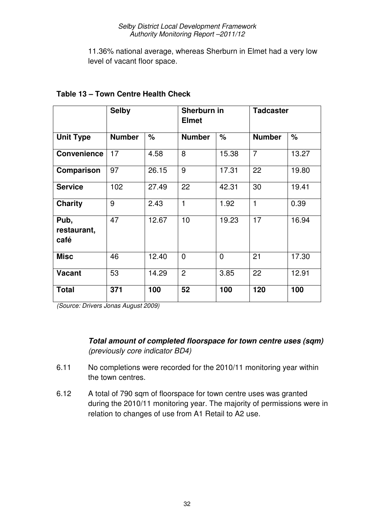11.36% national average, whereas Sherburn in Elmet had a very low level of vacant floor space.

|                             | <b>Selby</b>  |       | Sherburn in<br><b>Elmet</b> |                | <b>Tadcaster</b> |       |  |
|-----------------------------|---------------|-------|-----------------------------|----------------|------------------|-------|--|
| <b>Unit Type</b>            | <b>Number</b> | $\%$  | <b>Number</b>               | %              | <b>Number</b>    | $\%$  |  |
| <b>Convenience</b>          | 17            | 4.58  | 8                           | 15.38          | $\overline{7}$   | 13.27 |  |
| Comparison                  | 97            | 26.15 | 9                           | 17.31          | 22               | 19.80 |  |
| <b>Service</b>              | 102           | 27.49 | 22                          | 42.31          | 30               | 19.41 |  |
| <b>Charity</b>              | 9             | 2.43  | $\mathbf{1}$                | 1.92           | $\mathbf{1}$     | 0.39  |  |
| Pub,<br>restaurant,<br>café | 47            | 12.67 | 10                          | 19.23          | 17               | 16.94 |  |
| <b>Misc</b>                 | 46            | 12.40 | $\overline{0}$              | $\overline{0}$ | 21               | 17.30 |  |
| <b>Vacant</b>               | 53            | 14.29 | $\overline{2}$              | 3.85           | 22               | 12.91 |  |
| <b>Total</b>                | 371           | 100   | 52                          | 100            | 120              | 100   |  |

#### **Table 13 – Town Centre Health Check**

(Source: Drivers Jonas August 2009)

**Total amount of completed floorspace for town centre uses (sqm)** (previously core indicator BD4)

- 6.11 No completions were recorded for the 2010/11 monitoring year within the town centres.
- 6.12 A total of 790 sqm of floorspace for town centre uses was granted during the 2010/11 monitoring year. The majority of permissions were in relation to changes of use from A1 Retail to A2 use.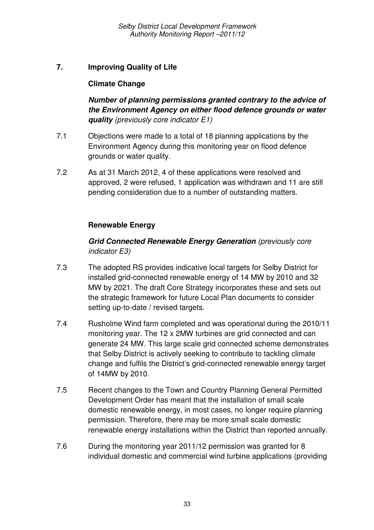#### **7. Improving Quality of Life**

#### **Climate Change**

**Number of planning permissions granted contrary to the advice of the Environment Agency on either flood defence grounds or water quality** (previously core indicator E1)

- 7.1 Objections were made to a total of 18 planning applications by the Environment Agency during this monitoring year on flood defence grounds or water quality.
- 7.2 As at 31 March 2012, 4 of these applications were resolved and approved, 2 were refused, 1 application was withdrawn and 11 are still pending consideration due to a number of outstanding matters.

#### **Renewable Energy**

#### **Grid Connected Renewable Energy Generation** (previously core indicator E3)

- 7.3 The adopted RS provides indicative local targets for Selby District for installed grid-connected renewable energy of 14 MW by 2010 and 32 MW by 2021. The draft Core Strategy incorporates these and sets out the strategic framework for future Local Plan documents to consider setting up-to-date / revised targets.
- 7.4 Rusholme Wind farm completed and was operational during the 2010/11 monitoring year. The 12 x 2MW turbines are grid connected and can generate 24 MW. This large scale grid connected scheme demonstrates that Selby District is actively seeking to contribute to tackling climate change and fulfils the District's grid-connected renewable energy target of 14MW by 2010.
- 7.5 Recent changes to the Town and Country Planning General Permitted Development Order has meant that the installation of small scale domestic renewable energy, in most cases, no longer require planning permission. Therefore, there may be more small scale domestic renewable energy installations within the District than reported annually.
- 7.6 During the monitoring year 2011/12 permission was granted for 8 individual domestic and commercial wind turbine applications (providing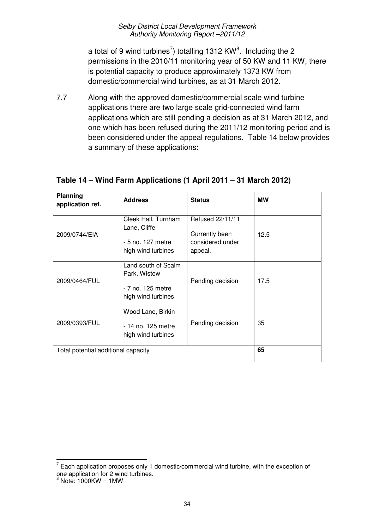a total of 9 wind turbines<sup>7</sup>) totalling 1312 KW<sup>8</sup>. Including the 2 permissions in the 2010/11 monitoring year of 50 KW and 11 KW, there is potential capacity to produce approximately 1373 KW from domestic/commercial wind turbines, as at 31 March 2012.

7.7 Along with the approved domestic/commercial scale wind turbine applications there are two large scale grid-connected wind farm applications which are still pending a decision as at 31 March 2012, and one which has been refused during the 2011/12 monitoring period and is been considered under the appeal regulations. Table 14 below provides a summary of these applications:

| Planning<br>application ref.        | <b>Address</b>                                                                 | <b>Status</b>                                                     | <b>MW</b> |
|-------------------------------------|--------------------------------------------------------------------------------|-------------------------------------------------------------------|-----------|
| 2009/0744/EIA                       | Cleek Hall, Turnham<br>Lane, Cliffe<br>- 5 no. 127 metre<br>high wind turbines | Refused 22/11/11<br>Currently been<br>considered under<br>appeal. | 12.5      |
| 2009/0464/FUL                       | Land south of Scalm<br>Park, Wistow<br>- 7 no. 125 metre<br>high wind turbines | Pending decision                                                  | 17.5      |
| 2009/0393/FUL                       | Wood Lane, Birkin<br>- 14 no. 125 metre<br>high wind turbines                  | Pending decision                                                  | 35        |
| Total potential additional capacity |                                                                                |                                                                   | 65        |

## **Table 14 – Wind Farm Applications (1 April 2011 – 31 March 2012)**

l

 $7$  Each application proposes only 1 domestic/commercial wind turbine, with the exception of one application for 2 wind turbines.<br><sup>8</sup> Note: 1000KW = 1MW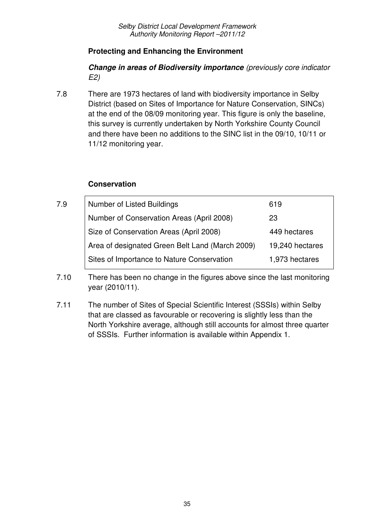#### **Protecting and Enhancing the Environment**

**Change in areas of Biodiversity importance** (previously core indicator E2)

7.8 There are 1973 hectares of land with biodiversity importance in Selby District (based on Sites of Importance for Nature Conservation, SINCs) at the end of the 08/09 monitoring year. This figure is only the baseline, this survey is currently undertaken by North Yorkshire County Council and there have been no additions to the SINC list in the 09/10, 10/11 or 11/12 monitoring year.

#### **Conservation**

| 7.9 | <b>Number of Listed Buildings</b>               | 619             |
|-----|-------------------------------------------------|-----------------|
|     | Number of Conservation Areas (April 2008)       | 23              |
|     | Size of Conservation Areas (April 2008)         | 449 hectares    |
|     | Area of designated Green Belt Land (March 2009) | 19,240 hectares |
|     | Sites of Importance to Nature Conservation      | 1,973 hectares  |

- 7.10 There has been no change in the figures above since the last monitoring year (2010/11).
- 7.11 The number of Sites of Special Scientific Interest (SSSIs) within Selby that are classed as favourable or recovering is slightly less than the North Yorkshire average, although still accounts for almost three quarter of SSSIs. Further information is available within Appendix 1.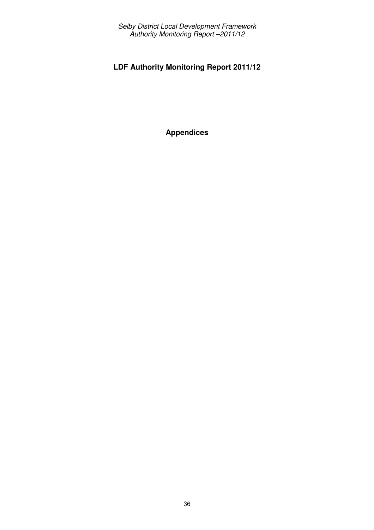## **LDF Authority Monitoring Report 2011/12**

**Appendices**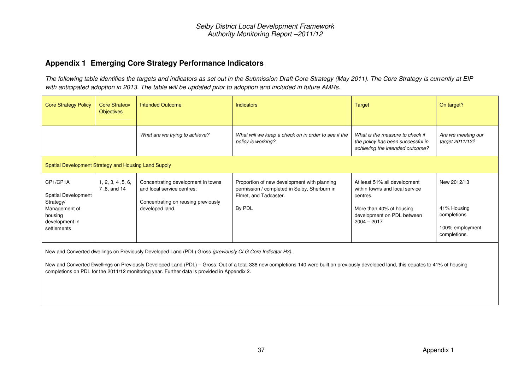#### **Appendix 1 Emerging Core Strategy Performance Indicators**

The following table identifies the targets and indicators as set out in the Submission Draft Core Strategy (May 2011). The Core Strategy is currently at EIP with anticipated adoption in 2013. The table will be updated prior to adoption and included in future AMRs.

| <b>Core Strategy Policy</b>                                                                               | Core Strategy<br><b>Objectives</b> | <b>Intended Outcome</b>                                                                                                                                                                                 | <b>Indicators</b>                                                                                                                                                                                 | <b>Target</b>                                                                                                                                         | On target?                                                                   |
|-----------------------------------------------------------------------------------------------------------|------------------------------------|---------------------------------------------------------------------------------------------------------------------------------------------------------------------------------------------------------|---------------------------------------------------------------------------------------------------------------------------------------------------------------------------------------------------|-------------------------------------------------------------------------------------------------------------------------------------------------------|------------------------------------------------------------------------------|
|                                                                                                           |                                    | What are we trying to achieve?                                                                                                                                                                          | What will we keep a check on in order to see if the<br>policy is working?                                                                                                                         | What is the measure to check if<br>the policy has been successful in<br>achieving the intended outcome?                                               | Are we meeting our<br>target 2011/12?                                        |
| Spatial Development Strategy and Housing Land Supply                                                      |                                    |                                                                                                                                                                                                         |                                                                                                                                                                                                   |                                                                                                                                                       |                                                                              |
| CP1/CP1A<br>Spatial Development<br>Strategy/<br>Management of<br>housing<br>development in<br>settlements | 1, 2, 3, 4, 5, 6,<br>7,8, and 14   | Concentrating development in towns<br>and local service centres;<br>Concentrating on reusing previously<br>developed land.                                                                              | Proportion of new development with planning<br>permission / completed in Selby, Sherburn in<br>Elmet, and Tadcaster.<br>By PDL                                                                    | At least 51% all development<br>within towns and local service<br>centres.<br>More than 40% of housing<br>development on PDL between<br>$2004 - 2017$ | New 2012/13<br>41% Housing<br>completions<br>100% employment<br>completions. |
|                                                                                                           |                                    | New and Converted dwellings on Previously Developed Land (PDL) Gross (previously CLG Core Indicator H3).<br>completions on PDL for the 2011/12 monitoring year. Further data is provided in Appendix 2. | New and Converted <del>Dwellings</del> on Previously Developed Land (PDL) - Gross; Out of a total 338 new completions 140 were built on previously developed land, this equates to 41% of housing |                                                                                                                                                       |                                                                              |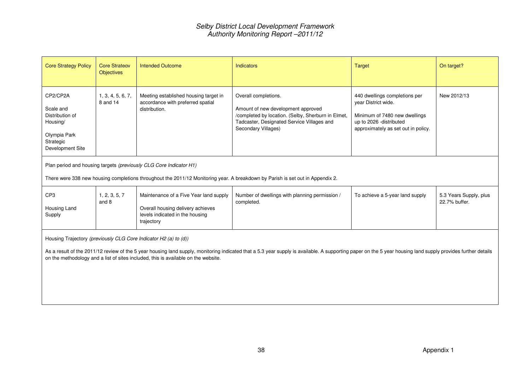| <b>Core Strategy Policy</b>                                                                           | Core Strategy<br><b>Objectives</b>                                                                                                                                                                   | <b>Intended Outcome</b>                                                                                                                                | <b>Indicators</b>                                                                                                                                                                                            | Target                                                                                                                                                  | On target?                              |  |  |  |  |  |
|-------------------------------------------------------------------------------------------------------|------------------------------------------------------------------------------------------------------------------------------------------------------------------------------------------------------|--------------------------------------------------------------------------------------------------------------------------------------------------------|--------------------------------------------------------------------------------------------------------------------------------------------------------------------------------------------------------------|---------------------------------------------------------------------------------------------------------------------------------------------------------|-----------------------------------------|--|--|--|--|--|
| CP2/CP2A<br>Scale and<br>Distribution of<br>Housing/<br>Olympia Park<br>Strategic<br>Development Site | 1, 3, 4, 5, 6, 7,<br>8 and 14                                                                                                                                                                        | Meeting established housing target in<br>accordance with preferred spatial<br>distribution.                                                            | Overall completions.<br>Amount of new development approved<br>/completed by location. (Selby, Sherburn in Elmet,<br>Tadcaster, Designated Service Villages and<br>Secondary Villages)                        | 440 dwellings completions per<br>year District wide.<br>Minimum of 7480 new dwellings<br>up to 2026 -distributed<br>approximately as set out in policy. | New 2012/13                             |  |  |  |  |  |
|                                                                                                       | Plan period and housing targets (previously CLG Core Indicator H1)<br>There were 338 new housing completions throughout the 2011/12 Monitoring year. A breakdown by Parish is set out in Appendix 2. |                                                                                                                                                        |                                                                                                                                                                                                              |                                                                                                                                                         |                                         |  |  |  |  |  |
| CP <sub>3</sub><br>Housing Land<br>Supply                                                             | 1, 2, 3, 5, 7<br>and 8                                                                                                                                                                               | Maintenance of a Five Year land supply<br>Overall housing delivery achieves<br>levels indicated in the housing<br>trajectory                           | Number of dwellings with planning permission /<br>completed.                                                                                                                                                 | To achieve a 5-year land supply                                                                                                                         | 5.3 Years Supply, plus<br>22.7% buffer. |  |  |  |  |  |
|                                                                                                       |                                                                                                                                                                                                      | Housing Trajectory (previously CLG Core Indicator H2 (a) to (d))<br>on the methodology and a list of sites included, this is available on the website. | As a result of the 2011/12 review of the 5 year housing land supply, monitoring indicated that a 5.3 year supply is available. A supporting paper on the 5 year housing land supply provides further details |                                                                                                                                                         |                                         |  |  |  |  |  |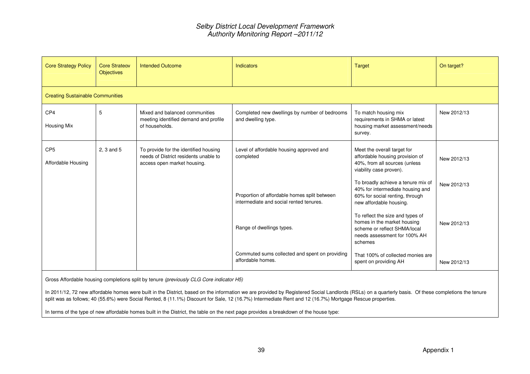| <b>Core Strategy Policy</b>             | Core Strategy<br><b>Objectives</b> | <b>Intended Outcome</b>                                                                                       | Indicators                                                                              | <b>Target</b>                                                                                                                              | On target?  |
|-----------------------------------------|------------------------------------|---------------------------------------------------------------------------------------------------------------|-----------------------------------------------------------------------------------------|--------------------------------------------------------------------------------------------------------------------------------------------|-------------|
| <b>Creating Sustainable Communities</b> |                                    |                                                                                                               |                                                                                         |                                                                                                                                            |             |
| CP <sub>4</sub><br>Housing Mix          | 5                                  | Mixed and balanced communities<br>meeting identified demand and profile<br>of households.                     | Completed new dwellings by number of bedrooms<br>and dwelling type.                     | To match housing mix<br>requirements in SHMA or latest<br>housing market assessment/needs<br>survey.                                       | New 2012/13 |
| CP <sub>5</sub><br>Affordable Housing   | 2, 3 and 5                         | To provide for the identified housing<br>needs of District residents unable to<br>access open market housing. | Level of affordable housing approved and<br>completed                                   | Meet the overall target for<br>affordable housing provision of<br>40%, from all sources (unless<br>viability case proven).                 | New 2012/13 |
|                                         |                                    |                                                                                                               | Proportion of affordable homes split between<br>intermediate and social rented tenures. | To broadly achieve a tenure mix of<br>40% for intermediate housing and<br>60% for social renting, through<br>new affordable housing.       | New 2012/13 |
|                                         |                                    |                                                                                                               | Range of dwellings types.                                                               | To reflect the size and types of<br>homes in the market housing<br>scheme or reflect SHMA/local<br>needs assessment for 100% AH<br>schemes | New 2012/13 |
|                                         |                                    |                                                                                                               | Commuted sums collected and spent on providing<br>affordable homes.                     | That 100% of collected monies are<br>spent on providing AH                                                                                 | New 2012/13 |

Gross Affordable housing completions split by tenure (previously CLG Core indicator H5)

In 2011/12, 72 new affordable homes were built in the District, based on the information we are provided by Registered Social Landlords (RSLs) on a quarterly basis. Of these completions the tenure split was as follows; 40 (55.6%) were Social Rented, 8 (11.1%) Discount for Sale, 12 (16.7%) Intermediate Rent and 12 (16.7%) Mortgage Rescue properties.

In terms of the type of new affordable homes built in the District, the table on the next page provides a breakdown of the house type: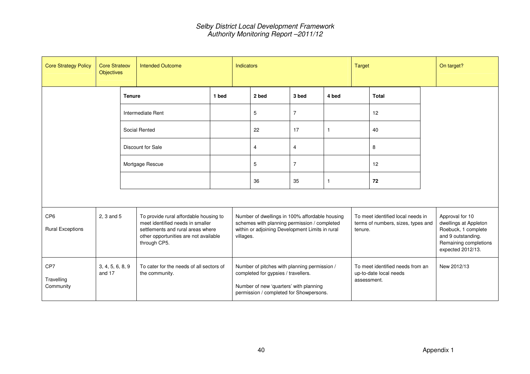| <b>Core Strategy Policy</b>                | <b>Core Strategy</b><br><b>Objectives</b> | <b>Intended Outcome</b>                                    |                                                                                                                                                          |           | <b>Indicators</b>                                                                                                                                                        |                |                                                                                                                                                   |              | <b>Target</b>                                                                      |              |  | On target?                                                                                                                          |
|--------------------------------------------|-------------------------------------------|------------------------------------------------------------|----------------------------------------------------------------------------------------------------------------------------------------------------------|-----------|--------------------------------------------------------------------------------------------------------------------------------------------------------------------------|----------------|---------------------------------------------------------------------------------------------------------------------------------------------------|--------------|------------------------------------------------------------------------------------|--------------|--|-------------------------------------------------------------------------------------------------------------------------------------|
|                                            |                                           | <b>Tenure</b>                                              |                                                                                                                                                          | 1 bed     |                                                                                                                                                                          | 2 bed          | 3 bed                                                                                                                                             | 4 bed        |                                                                                    | <b>Total</b> |  |                                                                                                                                     |
|                                            |                                           |                                                            | Intermediate Rent                                                                                                                                        |           |                                                                                                                                                                          | 5              | $\overline{7}$                                                                                                                                    |              |                                                                                    | 12           |  |                                                                                                                                     |
|                                            |                                           |                                                            | Social Rented                                                                                                                                            |           |                                                                                                                                                                          | 22             | 17                                                                                                                                                | $\mathbf{1}$ |                                                                                    | 40           |  |                                                                                                                                     |
|                                            |                                           |                                                            | Discount for Sale                                                                                                                                        |           |                                                                                                                                                                          | 4              | 4                                                                                                                                                 |              |                                                                                    | 8            |  |                                                                                                                                     |
|                                            |                                           | Mortgage Rescue                                            |                                                                                                                                                          |           | 5                                                                                                                                                                        | $\overline{7}$ |                                                                                                                                                   |              | 12                                                                                 |              |  |                                                                                                                                     |
|                                            |                                           |                                                            |                                                                                                                                                          |           |                                                                                                                                                                          | 36             | 35                                                                                                                                                | $\mathbf{1}$ |                                                                                    | 72           |  |                                                                                                                                     |
|                                            |                                           |                                                            |                                                                                                                                                          |           |                                                                                                                                                                          |                |                                                                                                                                                   |              |                                                                                    |              |  |                                                                                                                                     |
| CP <sub>6</sub><br><b>Rural Exceptions</b> | 2, 3 and 5<br>through CP5.                |                                                            | To provide rural affordable housing to<br>meet identified needs in smaller<br>settlements and rural areas where<br>other opportunities are not available | villages. |                                                                                                                                                                          |                | Number of dwellings in 100% affordable housing<br>schemes with planning permission / completed<br>within or adjoining Development Limits in rural |              | To meet identified local needs in<br>terms of numbers, sizes, types and<br>tenure. |              |  | Approval for 10<br>dwellings at Appleton<br>Roebuck, 1 complete<br>and 9 outstanding.<br>Remaining completions<br>expected 2012/13. |
| CP7<br>Travelling<br>Community             | 3, 4, 5, 6, 8, 9<br>and 17                | To cater for the needs of all sectors of<br>the community. |                                                                                                                                                          |           | Number of pitches with planning permission /<br>completed for gypsies / travellers.<br>Number of new 'quarters' with planning<br>permission / completed for Showpersons. |                |                                                                                                                                                   |              | To meet identified needs from an<br>up-to-date local needs<br>assessment.          |              |  | New 2012/13                                                                                                                         |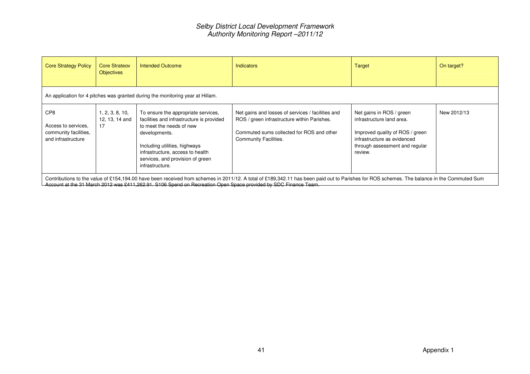| <b>Core Strategy Policy</b>                                               | Core Strategy<br><b>Objectives</b>                                             | <b>Intended Outcome</b>                                                                                                                                                                                                                                   | <b>Indicators</b>                                                                                                                                                                           | Target                                                                                                                                                               | On target?  |  |  |  |  |  |
|---------------------------------------------------------------------------|--------------------------------------------------------------------------------|-----------------------------------------------------------------------------------------------------------------------------------------------------------------------------------------------------------------------------------------------------------|---------------------------------------------------------------------------------------------------------------------------------------------------------------------------------------------|----------------------------------------------------------------------------------------------------------------------------------------------------------------------|-------------|--|--|--|--|--|
|                                                                           | An application for 4 pitches was granted during the monitoring year at Hillam. |                                                                                                                                                                                                                                                           |                                                                                                                                                                                             |                                                                                                                                                                      |             |  |  |  |  |  |
| CP8<br>Access to services.<br>community facilities,<br>and infrastructure | 1, 2, 3, 8, 10,<br>12, 13, 14 and<br>17                                        | To ensure the appropriate services,<br>facilities and infrastructure is provided<br>to meet the needs of new<br>developments.<br>Including utilities, highways<br>infrastructure, access to health<br>services, and provision of green<br>infrastructure. | Net gains and losses of services / facilities and<br>ROS / green infrastructure within Parishes.<br>Commuted sums collected for ROS and other<br>Community Facilities.                      | Net gains in ROS / green<br>infrastructure land area.<br>Improved quality of ROS / green<br>infrastructure as evidenced<br>through assessment and regular<br>review. | New 2012/13 |  |  |  |  |  |
|                                                                           |                                                                                | Account at the 31 March 2012 was £411,262.91. S106 Spend on Recreation Open Space provided by SDC Finance Team.                                                                                                                                           | Contributions to the value of £154,194.00 have been received from schemes in 2011/12. A total of £189,342.11 has been paid out to Parishes for ROS schemes. The balance in the Commuted Sum |                                                                                                                                                                      |             |  |  |  |  |  |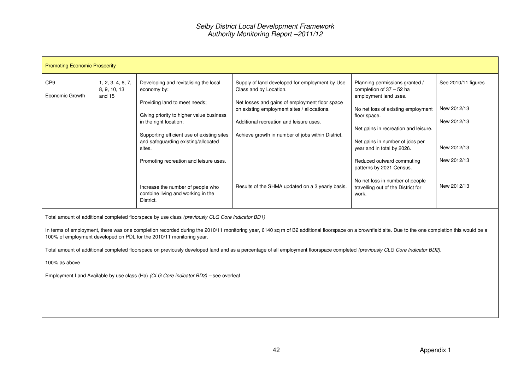| <b>Promoting Economic Prosperity</b> |                                             |                                                                                             |                                                                                                                            |                                                                                                       |                            |
|--------------------------------------|---------------------------------------------|---------------------------------------------------------------------------------------------|----------------------------------------------------------------------------------------------------------------------------|-------------------------------------------------------------------------------------------------------|----------------------------|
| CP <sub>9</sub><br>Economic Growth   | 1, 2, 3, 4, 6, 7,<br>8, 9, 10, 13<br>and 15 | Developing and revitalising the local<br>economy by:<br>Providing land to meet needs;       | Supply of land developed for employment by Use<br>Class and by Location.<br>Net losses and gains of employment floor space | Planning permissions granted /<br>completion of $37 - 52$ ha<br>employment land uses.                 | See 2010/11 figures        |
|                                      |                                             | Giving priority to higher value business<br>in the right location;                          | on existing employment sites / allocations.<br>Additional recreation and leisure uses.                                     | No net loss of existing employment<br>floor space.                                                    | New 2012/13<br>New 2012/13 |
|                                      |                                             | Supporting efficient use of existing sites<br>and safeguarding existing/allocated<br>sites. | Achieve growth in number of jobs within District.                                                                          | Net gains in recreation and leisure.<br>Net gains in number of jobs per<br>year and in total by 2026. | New 2012/13                |
|                                      |                                             | Promoting recreation and leisure uses.                                                      |                                                                                                                            | Reduced outward commuting<br>patterns by 2021 Census.                                                 | New 2012/13                |
|                                      |                                             | Increase the number of people who<br>combine living and working in the<br>District.         | Results of the SHMA updated on a 3 yearly basis.                                                                           | No net loss in number of people<br>travelling out of the District for<br>work.                        | New 2012/13                |

Total amount of additional completed floorspace by use class (previously CLG Core Indicator BD1)

In terms of employment, there was one completion recorded during the 2010/11 monitoring year, 6140 sq m of B2 additional floorspace on a brownfield site. Due to the one completion this would be a 100% of employment developed on PDL for the 2010/11 monitoring year.

Total amount of additional completed floorspace on previously developed land and as a percentage of all employment floorspace completed (previously CLG Core Indicator BD2).

100% as above

Employment Land Available by use class (Ha) (CLG Core indicator BD3) – see overleaf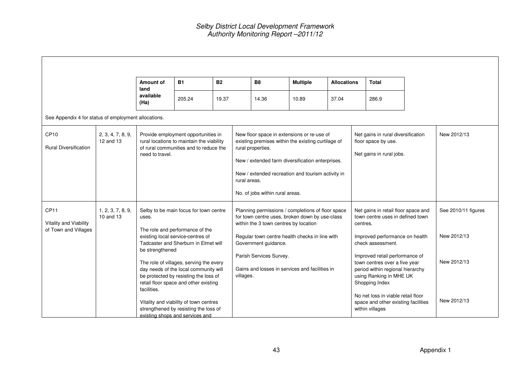$\blacksquare$ 

|                                                                    |                                | Amount of<br>land                                                                                                                                                                       | <b>B1</b>                                                                                                                                                                                                                                                                                                                                                                                                | <b>B2</b> |                                                                                                                                                                                                                                                                                   | <b>B8</b>                                                                                                                                                                                                                                                                                           | <b>Multiple</b> | <b>Allocations</b> |                                                                                       | <b>Total</b>                                                                                                                                                                                                                                                                                                                                                                       |  |                                                                  |
|--------------------------------------------------------------------|--------------------------------|-----------------------------------------------------------------------------------------------------------------------------------------------------------------------------------------|----------------------------------------------------------------------------------------------------------------------------------------------------------------------------------------------------------------------------------------------------------------------------------------------------------------------------------------------------------------------------------------------------------|-----------|-----------------------------------------------------------------------------------------------------------------------------------------------------------------------------------------------------------------------------------------------------------------------------------|-----------------------------------------------------------------------------------------------------------------------------------------------------------------------------------------------------------------------------------------------------------------------------------------------------|-----------------|--------------------|---------------------------------------------------------------------------------------|------------------------------------------------------------------------------------------------------------------------------------------------------------------------------------------------------------------------------------------------------------------------------------------------------------------------------------------------------------------------------------|--|------------------------------------------------------------------|
|                                                                    |                                | available<br>(Ha)                                                                                                                                                                       | 205.24                                                                                                                                                                                                                                                                                                                                                                                                   | 19.37     |                                                                                                                                                                                                                                                                                   | 14.36                                                                                                                                                                                                                                                                                               | 10.89           | 37.04              |                                                                                       | 286.9                                                                                                                                                                                                                                                                                                                                                                              |  |                                                                  |
| See Appendix 4 for status of employment allocations.               |                                |                                                                                                                                                                                         |                                                                                                                                                                                                                                                                                                                                                                                                          |           |                                                                                                                                                                                                                                                                                   |                                                                                                                                                                                                                                                                                                     |                 |                    |                                                                                       |                                                                                                                                                                                                                                                                                                                                                                                    |  |                                                                  |
| CP <sub>10</sub><br><b>Rural Diversification</b>                   | 2, 3, 4, 7, 8, 9,<br>12 and 13 | Provide employment opportunities in<br>rural locations to maintain the viability<br>of rural communities and to reduce the<br>need to travel.<br>Selby to be main focus for town centre |                                                                                                                                                                                                                                                                                                                                                                                                          |           | New floor space in extensions or re-use of<br>existing premises within the existing curtilage of<br>rural properties.<br>New / extended farm diversification enterprises.<br>New / extended recreation and tourism activity in<br>rural areas.<br>No. of jobs within rural areas. |                                                                                                                                                                                                                                                                                                     |                 |                    | Net gains in rural diversification<br>floor space by use.<br>Net gains in rural jobs. |                                                                                                                                                                                                                                                                                                                                                                                    |  | New 2012/13                                                      |
| CP <sub>11</sub><br>Vitality and Viability<br>of Town and Villages | 1, 2, 3, 7, 8, 9,<br>10 and 13 | uses.<br>be strengthened<br>facilities.                                                                                                                                                 | The role and performance of the<br>existing local service centres of<br>Tadcaster and Sherburn in Elmet will<br>The role of villages, serving the every<br>day needs of the local community will<br>be protected by resisting the loss of<br>retail floor space and other existing<br>Vitality and viability of town centres<br>strengthened by resisting the loss of<br>existing shops and services and |           | villages.                                                                                                                                                                                                                                                                         | Planning permissions / completions of floor space<br>for town centre uses, broken down by use-class<br>within the 3 town centres by location<br>Regular town centre health checks in line with<br>Government guidance.<br>Parish Services Survey.<br>Gains and losses in services and facilities in |                 |                    | centres.                                                                              | Net gains in retail floor space and<br>town centre uses in defined town<br>Improved performance on health<br>check assessment.<br>Improved retail performance of<br>town centres over a five year<br>period within regional hierarchy<br>using Ranking in MHE UK<br>Shopping Index<br>No net loss in viable retail floor<br>space and other existing facilities<br>within villages |  | See 2010/11 figures<br>New 2012/13<br>New 2012/13<br>New 2012/13 |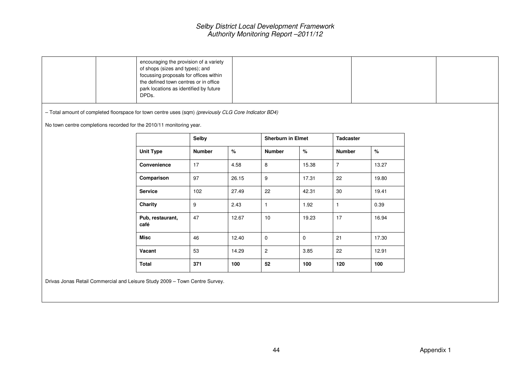|                                                                                                       | encouraging the provision of a variety<br>of shops (sizes and types); and<br>focussing proposals for offices within<br>the defined town centres or in office<br>park locations as identified by future<br>DPDs. |                  |       |                          |             |                  |       |  |  |
|-------------------------------------------------------------------------------------------------------|-----------------------------------------------------------------------------------------------------------------------------------------------------------------------------------------------------------------|------------------|-------|--------------------------|-------------|------------------|-------|--|--|
| - Total amount of completed floorspace for town centre uses (sqm) (previously CLG Core Indicator BD4) |                                                                                                                                                                                                                 |                  |       |                          |             |                  |       |  |  |
| No town centre completions recorded for the 2010/11 monitoring year.                                  |                                                                                                                                                                                                                 |                  |       |                          |             |                  |       |  |  |
|                                                                                                       |                                                                                                                                                                                                                 | <b>Selby</b>     |       | <b>Sherburn in Elmet</b> |             | <b>Tadcaster</b> |       |  |  |
|                                                                                                       | <b>Unit Type</b>                                                                                                                                                                                                | <b>Number</b>    | $\%$  | <b>Number</b>            | $\%$        | <b>Number</b>    | $\%$  |  |  |
|                                                                                                       | Convenience                                                                                                                                                                                                     | 17               | 4.58  | $\bf 8$                  | 15.38       | $\overline{7}$   | 13.27 |  |  |
|                                                                                                       | Comparison                                                                                                                                                                                                      | 97               | 26.15 | $\boldsymbol{9}$         | 17.31       | 22               | 19.80 |  |  |
|                                                                                                       | <b>Service</b>                                                                                                                                                                                                  | 102              | 27.49 | 22                       | 42.31       | $30\,$           | 19.41 |  |  |
|                                                                                                       | Charity                                                                                                                                                                                                         | $\boldsymbol{9}$ | 2.43  | $\mathbf{1}$             | 1.92        | $\mathbf{1}$     | 0.39  |  |  |
|                                                                                                       | Pub, restaurant,<br>café                                                                                                                                                                                        | 47               | 12.67 | 10                       | 19.23       | 17               | 16.94 |  |  |
|                                                                                                       | <b>Misc</b>                                                                                                                                                                                                     | 46               | 12.40 | $\pmb{0}$                | $\mathbf 0$ | 21               | 17.30 |  |  |
|                                                                                                       | Vacant                                                                                                                                                                                                          | 53               | 14.29 | $\sqrt{2}$               | 3.85        | 22               | 12.91 |  |  |
|                                                                                                       | Total                                                                                                                                                                                                           | 371              | 100   | 52                       | 100         | 120              | 100   |  |  |
| Drivas Jonas Betail Commercial and Leisure Study 2009 - Town Centre Survey.                           |                                                                                                                                                                                                                 |                  |       |                          |             |                  |       |  |  |

re Study 2009 – Town Centre Survey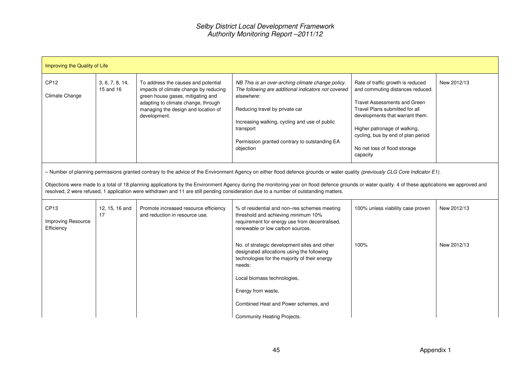|                                                      | Improving the Quality of Life |                                                                                                                                                                                                                 |                                                                                                                                                                                                                                                                                                                                                                                                                                                                                                                                |                                                                                                                                                                                                                                                                                                     |             |  |  |  |  |
|------------------------------------------------------|-------------------------------|-----------------------------------------------------------------------------------------------------------------------------------------------------------------------------------------------------------------|--------------------------------------------------------------------------------------------------------------------------------------------------------------------------------------------------------------------------------------------------------------------------------------------------------------------------------------------------------------------------------------------------------------------------------------------------------------------------------------------------------------------------------|-----------------------------------------------------------------------------------------------------------------------------------------------------------------------------------------------------------------------------------------------------------------------------------------------------|-------------|--|--|--|--|
| CP <sub>12</sub><br>Climate Change                   | 3, 6, 7, 8, 14,<br>15 and 16  | To address the causes and potential<br>impacts of climate change by reducing<br>green house gases, mitigating and<br>adapting to climate change, through<br>managing the design and location of<br>development. | NB This is an over-arching climate change policy.<br>The following are additional indicators not covered<br>elsewhere:<br>Reducing travel by private car<br>Increasing walking, cycling and use of public<br>transport<br>Permission granted contrary to outstanding EA<br>objection                                                                                                                                                                                                                                           | Rate of traffic growth is reduced<br>and commuting distances reduced.<br><b>Travel Assessments and Green</b><br>Travel Plans submitted for all<br>developments that warrant them.<br>Higher patronage of walking,<br>cycling, bus by end of plan period<br>No net loss of flood storage<br>capacity | New 2012/13 |  |  |  |  |
|                                                      |                               |                                                                                                                                                                                                                 | - Number of planning permissions granted contrary to the advice of the Environment Agency on either flood defence grounds or water quality (previously CLG Core Indicator E1).<br>Objections were made to a total of 18 planning applications by the Environment Agency during the monitoring year on flood defence grounds or water quality. 4 of these applications we approved and<br>resolved, 2 were refused, 1 application were withdrawn and 11 are still pending consideration due to a number of outstanding matters. |                                                                                                                                                                                                                                                                                                     |             |  |  |  |  |
| CP <sub>13</sub><br>Improving Resource<br>Efficiency | 12, 15, 16 and<br>17          | Promote increased resource efficiency<br>and reduction in resource use.                                                                                                                                         | % of residential and non-res schemes meeting<br>threshold and achieving minimum 10%<br>requirement for energy use from decentralised,<br>renewable or low carbon sources.                                                                                                                                                                                                                                                                                                                                                      | 100% unless viability case proven                                                                                                                                                                                                                                                                   | New 2012/13 |  |  |  |  |
|                                                      |                               |                                                                                                                                                                                                                 | No. of strategic development sites and other<br>designated allocations using the following<br>technologies for the majority of their energy<br>needs:                                                                                                                                                                                                                                                                                                                                                                          | 100%                                                                                                                                                                                                                                                                                                | New 2012/13 |  |  |  |  |
|                                                      |                               |                                                                                                                                                                                                                 | Local biomass technologies,                                                                                                                                                                                                                                                                                                                                                                                                                                                                                                    |                                                                                                                                                                                                                                                                                                     |             |  |  |  |  |
|                                                      |                               |                                                                                                                                                                                                                 | Energy from waste,                                                                                                                                                                                                                                                                                                                                                                                                                                                                                                             |                                                                                                                                                                                                                                                                                                     |             |  |  |  |  |
|                                                      |                               |                                                                                                                                                                                                                 | Combined Heat and Power schemes, and<br>Community Heating Projects.                                                                                                                                                                                                                                                                                                                                                                                                                                                            |                                                                                                                                                                                                                                                                                                     |             |  |  |  |  |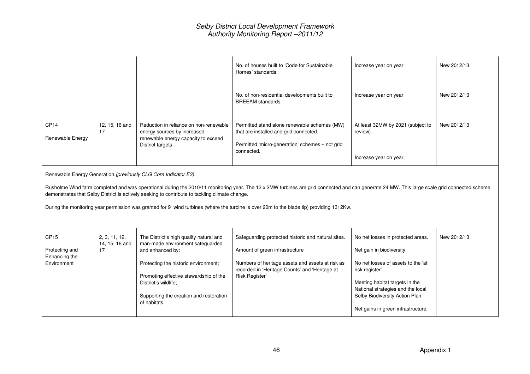|                                                                    |                                       |                                                                                                                                                                                                                                                                      | No. of houses built to 'Code for Sustainable<br>Homes' standards.                                                                                                                                                                                                                                                                        | Increase year on year                                                                                                                                                                                                                                                   | New 2012/13 |
|--------------------------------------------------------------------|---------------------------------------|----------------------------------------------------------------------------------------------------------------------------------------------------------------------------------------------------------------------------------------------------------------------|------------------------------------------------------------------------------------------------------------------------------------------------------------------------------------------------------------------------------------------------------------------------------------------------------------------------------------------|-------------------------------------------------------------------------------------------------------------------------------------------------------------------------------------------------------------------------------------------------------------------------|-------------|
|                                                                    |                                       |                                                                                                                                                                                                                                                                      | No. of non-residential developments built to<br>BREEAM standards.                                                                                                                                                                                                                                                                        | Increase year on year                                                                                                                                                                                                                                                   | New 2012/13 |
| CP <sub>14</sub><br>Renewable Energy                               | 12, 15, 16 and<br>17                  | Reduction in reliance on non-renewable<br>energy sources by increased<br>renewable energy capacity to exceed<br>District targets.                                                                                                                                    | Permitted stand alone renewable schemes (MW)<br>that are installed and grid connected.<br>Permitted 'micro-generation' schemes - not grid<br>connected.                                                                                                                                                                                  | At least 32MW by 2021 (subject to<br>review).<br>Increase year on year.                                                                                                                                                                                                 | New 2012/13 |
|                                                                    |                                       | Renewable Energy Generation (previously CLG Core Indicator E3)<br>demonstrates that Selby District is actively seeking to contribute to tackling climate change.                                                                                                     | Rusholme Wind farm completed and was operational during the 2010/11 monitoring year. The 12 x 2MW turbines are grid connected and can generate 24 MW. This large scale grid connected scheme<br>During the monitoring year permission was granted for 9 wind turbines (where the turbine is over 20m to the blade tip) providing 1312Kw. |                                                                                                                                                                                                                                                                         |             |
| CP <sub>15</sub><br>Protecting and<br>Enhancing the<br>Environment | 2, 3, 11, 12,<br>14, 15, 16 and<br>17 | The District's high quality natural and<br>man-made environment safeguarded<br>and enhanced by:<br>Protecting the historic environment;<br>Promoting effective stewardship of the<br>District's wildlife;<br>Supporting the creation and restoration<br>of habitats. | Safeguarding protected historic and natural sites.<br>Amount of green infrastructure<br>Numbers of heritage assets and assets at risk as<br>recorded in 'Heritage Counts' and 'Heritage at<br>Risk Register'                                                                                                                             | No net losses in protected areas.<br>Net gain in biodiversity.<br>No net losses of assets to the 'at<br>risk register'.<br>Meeting habitat targets in the<br>National strategies and the local<br>Selby Biodiversity Action Plan.<br>Net gains in green infrastructure. | New 2012/13 |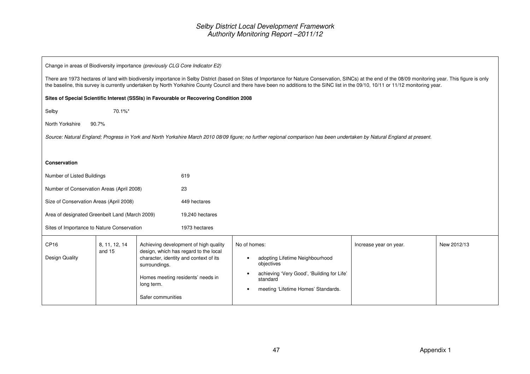| Change in areas of Biodiversity importance (previously CLG Core Indicator E2)                                                                                                                                                                                                                                                                                                                                                                                                  |                                                                                                                                                                                                                                                                                                                                                                                                  |  |                                                                                         |  |                                                                                                                                                                          |             |  |  |  |
|--------------------------------------------------------------------------------------------------------------------------------------------------------------------------------------------------------------------------------------------------------------------------------------------------------------------------------------------------------------------------------------------------------------------------------------------------------------------------------|--------------------------------------------------------------------------------------------------------------------------------------------------------------------------------------------------------------------------------------------------------------------------------------------------------------------------------------------------------------------------------------------------|--|-----------------------------------------------------------------------------------------|--|--------------------------------------------------------------------------------------------------------------------------------------------------------------------------|-------------|--|--|--|
|                                                                                                                                                                                                                                                                                                                                                                                                                                                                                | There are 1973 hectares of land with biodiversity importance in Selby District (based on Sites of Importance for Nature Conservation, SINCs) at the end of the 08/09 monitoring year. This figure is only<br>the baseline, this survey is currently undertaken by North Yorkshire County Council and there have been no additions to the SINC list in the 09/10, 10/11 or 11/12 monitoring year. |  |                                                                                         |  |                                                                                                                                                                          |             |  |  |  |
|                                                                                                                                                                                                                                                                                                                                                                                                                                                                                |                                                                                                                                                                                                                                                                                                                                                                                                  |  | Sites of Special Scientific Interest (SSSIs) in Favourable or Recovering Condition 2008 |  |                                                                                                                                                                          |             |  |  |  |
| Selby                                                                                                                                                                                                                                                                                                                                                                                                                                                                          | 70.1%*                                                                                                                                                                                                                                                                                                                                                                                           |  |                                                                                         |  |                                                                                                                                                                          |             |  |  |  |
| North Yorkshire                                                                                                                                                                                                                                                                                                                                                                                                                                                                | 90.7%                                                                                                                                                                                                                                                                                                                                                                                            |  |                                                                                         |  |                                                                                                                                                                          |             |  |  |  |
|                                                                                                                                                                                                                                                                                                                                                                                                                                                                                |                                                                                                                                                                                                                                                                                                                                                                                                  |  |                                                                                         |  | Source: Natural England; Progress in York and North Yorkshire March 2010 08/09 figure; no further regional comparison has been undertaken by Natural England at present. |             |  |  |  |
|                                                                                                                                                                                                                                                                                                                                                                                                                                                                                |                                                                                                                                                                                                                                                                                                                                                                                                  |  |                                                                                         |  |                                                                                                                                                                          |             |  |  |  |
| <b>Conservation</b>                                                                                                                                                                                                                                                                                                                                                                                                                                                            |                                                                                                                                                                                                                                                                                                                                                                                                  |  |                                                                                         |  |                                                                                                                                                                          |             |  |  |  |
| Number of Listed Buildings                                                                                                                                                                                                                                                                                                                                                                                                                                                     |                                                                                                                                                                                                                                                                                                                                                                                                  |  | 619                                                                                     |  |                                                                                                                                                                          |             |  |  |  |
| Number of Conservation Areas (April 2008)                                                                                                                                                                                                                                                                                                                                                                                                                                      |                                                                                                                                                                                                                                                                                                                                                                                                  |  | 23                                                                                      |  |                                                                                                                                                                          |             |  |  |  |
| Size of Conservation Areas (April 2008)                                                                                                                                                                                                                                                                                                                                                                                                                                        |                                                                                                                                                                                                                                                                                                                                                                                                  |  | 449 hectares                                                                            |  |                                                                                                                                                                          |             |  |  |  |
| Area of designated Greenbelt Land (March 2009)                                                                                                                                                                                                                                                                                                                                                                                                                                 |                                                                                                                                                                                                                                                                                                                                                                                                  |  | 19,240 hectares                                                                         |  |                                                                                                                                                                          |             |  |  |  |
| Sites of Importance to Nature Conservation                                                                                                                                                                                                                                                                                                                                                                                                                                     |                                                                                                                                                                                                                                                                                                                                                                                                  |  | 1973 hectares                                                                           |  |                                                                                                                                                                          |             |  |  |  |
| CP <sub>16</sub><br>Achieving development of high quality<br>No of homes:<br>8, 11, 12, 14<br>Increase year on year.<br>design, which has regard to the local<br>and 15<br>Design Quality<br>character, identity and context of its<br>adopting Lifetime Neighbourhood<br>objectives<br>surroundings.<br>achieving 'Very Good', 'Building for Life'<br>Homes meeting residents' needs in<br>standard<br>long term.<br>meeting 'Lifetime Homes' Standards.<br>Safer communities |                                                                                                                                                                                                                                                                                                                                                                                                  |  |                                                                                         |  |                                                                                                                                                                          | New 2012/13 |  |  |  |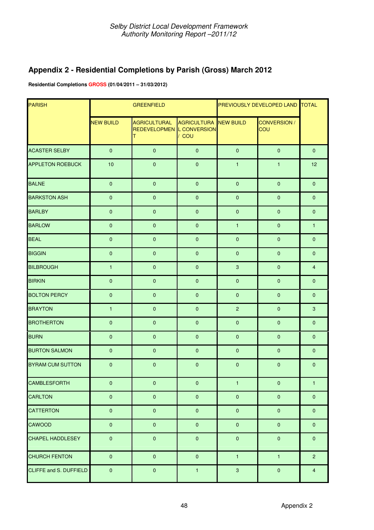## **Appendix 2 - Residential Completions by Parish (Gross) March 2012**

**Residential Completions GROSS (01/04/2011 – 31/03/2012)** 

| <b>PARISH</b>           |                  | <b>GREENFIELD</b>                                     |                                       | PREVIOUSLY DEVELOPED LAND TOTAL |                            |                         |
|-------------------------|------------------|-------------------------------------------------------|---------------------------------------|---------------------------------|----------------------------|-------------------------|
|                         | <b>NEW BUILD</b> | <b>AGRICULTURAL</b><br>REDEVELOPMEN   CONVERSION<br>т | <b>AGRICULTURA NEW BUILD</b><br>/ COU |                                 | CONVERSION /<br><b>COU</b> |                         |
| <b>ACASTER SELBY</b>    | $\mathbf{0}$     | $\mathbf{0}$                                          | $\overline{0}$                        | $\mathbf{0}$                    | $\mathbf{0}$               | $\mathbf{0}$            |
| <b>APPLETON ROEBUCK</b> | 10               | $\mathbf 0$                                           | $\pmb{0}$                             | $\mathbf{1}$                    | $\mathbf{1}$               | 12                      |
| <b>BALNE</b>            | $\pmb{0}$        | $\mathbf{0}$                                          | $\pmb{0}$                             | $\pmb{0}$                       | $\pmb{0}$                  | $\pmb{0}$               |
| <b>BARKSTON ASH</b>     | $\pmb{0}$        | $\mathbf 0$                                           | $\pmb{0}$                             | $\pmb{0}$                       | $\mathbf{0}$               | $\mathbf 0$             |
| <b>BARLBY</b>           | $\pmb{0}$        | $\pmb{0}$                                             | $\pmb{0}$                             | $\mathbf 0$                     | $\mathbf 0$                | $\pmb{0}$               |
| <b>BARLOW</b>           | $\pmb{0}$        | $\pmb{0}$                                             | $\pmb{0}$                             | $\mathbf{1}$                    | $\mathbf 0$                | $\mathbf{1}$            |
| <b>BEAL</b>             | $\mathbf{0}$     | $\pmb{0}$                                             | $\pmb{0}$                             | $\pmb{0}$                       | $\mathbf{0}$               | $\mathbf{0}$            |
| <b>BIGGIN</b>           | $\pmb{0}$        | $\mathbf{0}$                                          | $\mathbf{0}$                          | $\mathbf{0}$                    | $\mathbf{0}$               | $\mathbf{0}$            |
| <b>BILBROUGH</b>        | $\mathbf{1}$     | $\mathbf 0$                                           | $\pmb{0}$                             | $\mathbf{3}$                    | $\mathbf 0$                | $\overline{\mathbf{4}}$ |
| <b>BIRKIN</b>           | $\pmb{0}$        | $\mathbf 0$                                           | $\pmb{0}$                             | $\pmb{0}$                       | $\pmb{0}$                  | $\pmb{0}$               |
| <b>BOLTON PERCY</b>     | $\pmb{0}$        | $\mathbf 0$                                           | $\pmb{0}$                             | $\mathbf{0}$                    | $\mathbf{0}$               | $\mathbf{0}$            |
| <b>BRAYTON</b>          | $\mathbf{1}$     | $\mathbf 0$                                           | $\mathbf{0}$                          | $\overline{2}$                  | $\mathbf 0$                | $\mathbf{3}$            |
| <b>BROTHERTON</b>       | $\pmb{0}$        | $\mathbf 0$                                           | $\pmb{0}$                             | $\pmb{0}$                       | $\mathbf{0}$               | $\mathbf{0}$            |
| <b>BURN</b>             | $\mathbf 0$      | $\pmb{0}$                                             | $\pmb{0}$                             | $\mathbf{0}$                    | $\mathbf{0}$               | $\pmb{0}$               |
| <b>BURTON SALMON</b>    | $\pmb{0}$        | $\pmb{0}$                                             | $\mathbf 0$                           | $\mathbf 0$                     | $\mathbf{0}$               | $\pmb{0}$               |
| <b>BYRAM CUM SUTTON</b> | $\mathbf 0$      | $\pmb{0}$                                             | $\pmb{0}$                             | $\mathbf 0$                     | $\mathbf{0}$               | $\pmb{0}$               |
| <b>CAMBLESFORTH</b>     | $\pmb{0}$        | $\pmb{0}$                                             | $\pmb{0}$                             | $\mathbf{1}$                    | $\pmb{0}$                  | $\mathbf{1}$            |
| <b>CARLTON</b>          | $\pmb{0}$        | $\pmb{0}$                                             | $\pmb{0}$                             | $\pmb{0}$                       | $\mathbf{0}$               | $\pmb{0}$               |
| <b>CATTERTON</b>        | $\pmb{0}$        | $\overline{0}$                                        | $\pmb{0}$                             | $\pmb{0}$                       | $\pmb{0}$                  | $\pmb{0}$               |
| <b>CAWOOD</b>           | $\pmb{0}$        | $\pmb{0}$                                             | $\pmb{0}$                             | $\pmb{0}$                       | $\pmb{0}$                  | $\pmb{0}$               |
| <b>CHAPEL HADDLESEY</b> | $\pmb{0}$        | $\pmb{0}$                                             | $\pmb{0}$                             | $\pmb{0}$                       | $\mathbf 0$                | $\mathbf 0$             |
| <b>CHURCH FENTON</b>    | $\pmb{0}$        | $\overline{0}$                                        | $\pmb{0}$                             | $\mathbf{1}$                    | $\mathbf{1}$               | 2 <sup>1</sup>          |
| CLIFFE and S. DUFFIELD  | $\pmb{0}$        | $\pmb{0}$                                             | $\mathbf{1}$                          | $\mathbf{3}$                    | $\pmb{0}$                  | $\overline{4}$          |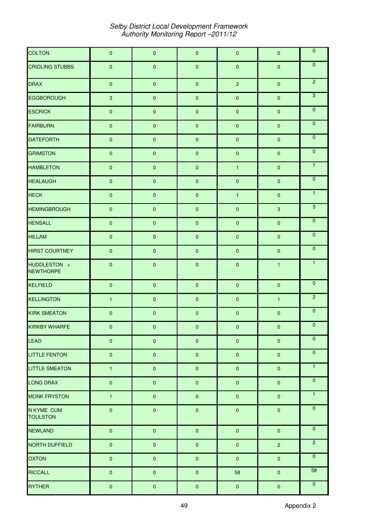| <b>COLTON</b>                      | $\pmb{0}$    | $\pmb{0}$   | $\pmb{0}$ | $\pmb{0}$      | $\pmb{0}$           | $\overline{\mathbf{0}}$ |
|------------------------------------|--------------|-------------|-----------|----------------|---------------------|-------------------------|
| <b>CRIDLING STUBBS</b>             | $\pmb{0}$    | $\pmb{0}$   | $\pmb{0}$ | $\pmb{0}$      | $\mathbf 0$         | $\overline{0}$          |
| <b>DRAX</b>                        | $\pmb{0}$    | $\pmb{0}$   | $\pmb{0}$ | $\overline{c}$ | $\pmb{0}$           | $\overline{2}$          |
| <b>EGGBOROUGH</b>                  | $\mathbf{3}$ | $\pmb{0}$   | $\pmb{0}$ | $\pmb{0}$      | $\pmb{0}$           | $\overline{3}$          |
| <b>ESCRICK</b>                     | $\pmb{0}$    | $\pmb{0}$   | $\pmb{0}$ | $\pmb{0}$      | $\mathbf 0$         | $\overline{\mathbf{0}}$ |
| <b>FAIRBURN</b>                    | $\pmb{0}$    | $\pmb{0}$   | $\pmb{0}$ | $\pmb{0}$      | $\pmb{0}$           | $\overline{0}$          |
| <b>GATEFORTH</b>                   | $\pmb{0}$    | $\pmb{0}$   | $\pmb{0}$ | $\pmb{0}$      | $\pmb{0}$           | $\overline{0}$          |
| <b>GRIMSTON</b>                    | $\pmb{0}$    | $\pmb{0}$   | $\pmb{0}$ | $\pmb{0}$      | $\pmb{0}$           | $\overline{0}$          |
| <b>HAMBLETON</b>                   | $\pmb{0}$    | $\pmb{0}$   | $\pmb{0}$ | $\mathbf{1}$   | $\pmb{0}$           | $\mathbf{1}$            |
| <b>HEALAUGH</b>                    | $\pmb{0}$    | $\pmb{0}$   | $\pmb{0}$ | $\pmb{0}$      | $\pmb{0}$           | $\overline{0}$          |
| <b>HECK</b>                        | $\pmb{0}$    | $\mathbf 0$ | $\pmb{0}$ | $\mathbf{1}$   | $\mathbf 0$         | $\overline{1}$          |
| <b>HEMINGBROUGH</b>                | $\pmb{0}$    | $\pmb{0}$   | $\pmb{0}$ | $\pmb{0}$      | $\mathbf{3}$        | $\overline{3}$          |
| <b>HENSALL</b>                     | $\pmb{0}$    | $\pmb{0}$   | $\pmb{0}$ | $\pmb{0}$      | $\pmb{0}$           | $\overline{\mathbf{0}}$ |
| <b>HILLAM</b>                      | $\pmb{0}$    | $\pmb{0}$   | $\pmb{0}$ | $\pmb{0}$      | $\mathbf 0$         | $\overline{0}$          |
| <b>HIRST COURTNEY</b>              | $\pmb{0}$    | $\pmb{0}$   | $\pmb{0}$ | $\pmb{0}$      | $\pmb{0}$           | $\overline{\mathbf{0}}$ |
| HIJDDI FSTON +<br><b>NEWTHORPE</b> | $\pmb{0}$    | $\pmb{0}$   | $\pmb{0}$ | $\pmb{0}$      | $\mathbf{1}$        | $\overline{1}$          |
| <b>KELFIELD</b>                    | $\pmb{0}$    | $\pmb{0}$   | $\pmb{0}$ | $\pmb{0}$      | $\pmb{0}$           | $\overline{0}$          |
| <b>KELLINGTON</b>                  | $\mathbf{1}$ | $\pmb{0}$   | $\pmb{0}$ | $\pmb{0}$      | $\mathbf{1}$        | $\overline{2}$          |
| <b>KIRK SMEATON</b>                | $\pmb{0}$    | $\pmb{0}$   | $\pmb{0}$ | $\pmb{0}$      | $\pmb{0}$           | $\overline{0}$          |
| <b>KIRKBY WHARFE</b>               | $\pmb{0}$    | $\pmb{0}$   | $\pmb{0}$ | $\pmb{0}$      | $\pmb{0}$           | $\overline{0}$          |
| <b>LEAD</b>                        | $\pmb{0}$    | $\pmb{0}$   | $\pmb{0}$ | $\pmb{0}$      | $\pmb{0}$           | $\mathbf 0$             |
| <b>LITTLE FENTON</b>               | $\pmb{0}$    | $\pmb{0}$   | $\pmb{0}$ | $\pmb{0}$      | $\mathsf{O}\xspace$ | $\overline{0}$          |
| <b>LITTLE SMEATON</b>              | $\mathbf{1}$ | $\pmb{0}$   | $\pmb{0}$ | $\pmb{0}$      | $\pmb{0}$           | $\overline{1}$          |
| <b>LONG DRAX</b>                   | $\pmb{0}$    | $\pmb{0}$   | $\pmb{0}$ | $\pmb{0}$      | $\pmb{0}$           | $\mathbf 0$             |
| <b>MONK FRYSTON</b>                | $\mathbf{1}$ | $\pmb{0}$   | $\pmb{0}$ | $\pmb{0}$      | $\pmb{0}$           | $\overline{1}$          |
| N KYMF CLIM<br><b>TOULSTON</b>     | $\pmb{0}$    | $\pmb{0}$   | $\pmb{0}$ | $\pmb{0}$      | $\pmb{0}$           | $\overline{0}$          |
| <b>NEWLAND</b>                     | $\pmb{0}$    | $\pmb{0}$   | $\pmb{0}$ | $\pmb{0}$      | $\pmb{0}$           | $\overline{0}$          |
| <b>NORTH DUFFIELD</b>              | $\pmb{0}$    | $\pmb{0}$   | $\pmb{0}$ | $\pmb{0}$      | $\overline{c}$      | $\overline{2}$          |
| <b>OXTON</b>                       | $\pmb{0}$    | $\pmb{0}$   | $\pmb{0}$ | $\pmb{0}$      | $\pmb{0}$           | $\overline{0}$          |
| <b>RICCALL</b>                     | $\pmb{0}$    | $\pmb{0}$   | $\pmb{0}$ | 58             | $\pmb{0}$           | 58                      |
| <b>RYTHER</b>                      | $\pmb{0}$    | $\pmb{0}$   | $\pmb{0}$ | $\pmb{0}$      | $\pmb{0}$           | $\mathbf 0$             |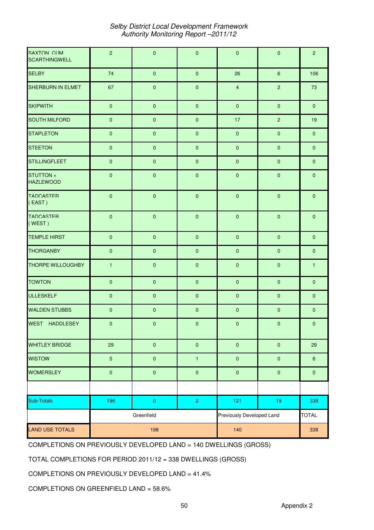| SAXTON CLIM<br><b>SCARTHINGWELL</b> | $\overline{c}$ | $\pmb{0}$    | $\pmb{0}$               | $\pmb{0}$                 | $\pmb{0}$           | $\overline{2}$   |
|-------------------------------------|----------------|--------------|-------------------------|---------------------------|---------------------|------------------|
| <b>SELBY</b>                        | 74             | $\mathbf{0}$ | $\pmb{0}$               | 26                        | $\boldsymbol{6}$    | 106              |
| SHERBURN IN ELMET                   | 67             | $\pmb{0}$    | $\pmb{0}$               | $\overline{\mathbf{4}}$   | $\overline{2}$      | 73               |
| <b>SKIPWITH</b>                     | $\pmb{0}$      | $\pmb{0}$    | $\pmb{0}$               | $\mathbf{0}$              | $\mathbf 0$         | $\mathbf{0}$     |
| <b>SOUTH MILFORD</b>                | $\pmb{0}$      | $\pmb{0}$    | $\pmb{0}$               | 17                        | $\overline{2}$      | 19               |
| <b>STAPLETON</b>                    | $\pmb{0}$      | $\pmb{0}$    | $\pmb{0}$               | $\pmb{0}$                 | $\pmb{0}$           | $\pmb{0}$        |
| <b>STEETON</b>                      | $\pmb{0}$      | $\pmb{0}$    | $\pmb{0}$               | $\pmb{0}$                 | $\pmb{0}$           | $\pmb{0}$        |
| <b>STILLINGFLEET</b>                | $\pmb{0}$      | $\pmb{0}$    | $\pmb{0}$               | $\pmb{0}$                 | $\mathbf{0}$        | $\mathbf{0}$     |
| STIJTTON +<br><b>HAZLEWOOD</b>      | $\pmb{0}$      | $\pmb{0}$    | $\pmb{0}$               | $\pmb{0}$                 | $\mathsf{O}\xspace$ | $\pmb{0}$        |
| <b>TADCASTER</b><br>$($ EAST)       | $\pmb{0}$      | $\pmb{0}$    | $\pmb{0}$               | $\pmb{0}$                 | $\pmb{0}$           | $\pmb{0}$        |
| <b>TADCASTER</b><br>(WEST)          | $\pmb{0}$      | $\pmb{0}$    | $\pmb{0}$               | $\pmb{0}$                 | $\mathbf 0$         | $\mathbf 0$      |
| <b>TEMPLE HIRST</b>                 | $\pmb{0}$      | $\pmb{0}$    | $\pmb{0}$               | $\pmb{0}$                 | $\mathbf{0}$        | $\mathbf{0}$     |
| <b>THORGANBY</b>                    | $\pmb{0}$      | $\pmb{0}$    | $\pmb{0}$               | $\pmb{0}$                 | $\mathbf{0}$        | $\pmb{0}$        |
| <b>THORPE WILLOUGHBY</b>            | $\mathbf{1}$   | $\pmb{0}$    | $\pmb{0}$               | $\pmb{0}$                 | $\pmb{0}$           | $\mathbf{1}$     |
| <b>TOWTON</b>                       | $\pmb{0}$      | $\pmb{0}$    | $\pmb{0}$               | $\pmb{0}$                 | $\pmb{0}$           | $\pmb{0}$        |
| <b>ULLESKELF</b>                    | $\pmb{0}$      | $\pmb{0}$    | $\pmb{0}$               | $\pmb{0}$                 | $\pmb{0}$           | $\pmb{0}$        |
| <b>WALDEN STUBBS</b>                | $\pmb{0}$      | $\pmb{0}$    | $\pmb{0}$               | $\pmb{0}$                 | $\pmb{0}$           | $\mathbf{0}$     |
| WEST HADDLESEY                      | $\pmb{0}$      | $\pmb{0}$    | $\pmb{0}$               | $\pmb{0}$                 | $\pmb{0}$           | $\pmb{0}$        |
| <b>WHITLEY BRIDGE</b>               | 29             | $\pmb{0}$    | $\pmb{0}$               | $\pmb{0}$                 | $\pmb{0}$           | 29               |
| <b>WISTOW</b>                       | $\overline{5}$ | $\pmb{0}$    | $\mathbf{1}$            | $\pmb{0}$                 | $\pmb{0}$           | $\boldsymbol{6}$ |
| <b>WOMERSLEY</b>                    | $\pmb{0}$      | $\pmb{0}$    | $\pmb{0}$               | $\pmb{0}$                 | $\pmb{0}$           | $\pmb{0}$        |
|                                     |                |              |                         |                           |                     |                  |
| Sub-Totals                          | 196            | $\pmb{0}$    | $\overline{\mathbf{2}}$ | 121                       | $19$                | 338              |
|                                     |                | Greenfield   |                         | Previously Developed Land |                     | <b>TOTAL</b>     |
| <b>LAND USE TOTALS</b>              |                | 198          |                         | 140                       |                     | 338              |

COMPLETIONS ON PREVIOUSLY DEVELOPED LAND = 140 DWELLINGS (GROSS)

TOTAL COMPLETIONS FOR PERIOD 2011/12 = 338 DWELLINGS (GROSS)

COMPLETIONS ON PREVIOUSLY DEVELOPED LAND = 41.4%

COMPLETIONS ON GREENFIELD LAND = 58.6%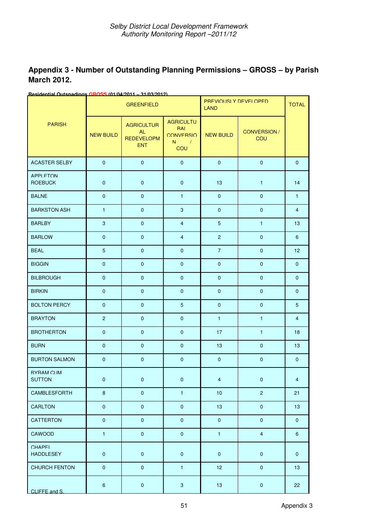| Appendix 3 - Number of Outstanding Planning Permissions - GROSS - by Parish |  |
|-----------------------------------------------------------------------------|--|
| <b>March 2012.</b>                                                          |  |

| <u> 1291412111211 1</u><br>шич     |                  | $\sim$<br><b>GREENFIELD</b>                                |                                                        | PREVIOUSI Y DEVELOPED<br><b>LAND</b> |                     | <b>TOTAL</b>            |
|------------------------------------|------------------|------------------------------------------------------------|--------------------------------------------------------|--------------------------------------|---------------------|-------------------------|
| <b>PARISH</b>                      | <b>NEW BUILD</b> | <b>AGRICULTUR</b><br>AI<br><b>REDEVELOPM</b><br><b>ENT</b> | <b>AGRICULTU</b><br>RAI<br>CONVERSIO<br>$N = 1$<br>COU | <b>NEW BUILD</b>                     | CONVERSION /<br>COU |                         |
| <b>ACASTER SELBY</b>               | $\mathbf{0}$     | $\mathsf{O}\xspace$                                        | $\overline{0}$                                         | $\mathbf{0}$                         | $\mathbf{0}$        | $\overline{0}$          |
| <b>APPI FTON</b><br><b>ROEBUCK</b> | $\mathbf{0}$     | $\mathbf 0$                                                | $\mathbf 0$                                            | 13                                   | $\mathbf{1}$        | 14                      |
| <b>BALNE</b>                       | $\mathbf{0}$     | $\mathbf 0$                                                | $\mathbf{1}$                                           | $\mathbf{0}$                         | $\mathbf{0}$        | $\mathbf{1}$            |
| <b>BARKSTON ASH</b>                | $\mathbf{1}$     | $\mathbf 0$                                                | $\mathbf{3}$                                           | $\mathbf 0$                          | $\overline{0}$      | $\overline{4}$          |
| <b>BARLBY</b>                      | 3                | $\mathbf 0$                                                | $\overline{4}$                                         | $5\phantom{.0}$                      | $\mathbf{1}$        | 13                      |
| <b>BARLOW</b>                      | $\mathbf{0}$     | $\pmb{0}$                                                  | $\overline{4}$                                         | $\overline{2}$                       | $\pmb{0}$           | $6\phantom{1}$          |
| <b>BEAL</b>                        | $5\phantom{.0}$  | $\mathbf 0$                                                | $\mathbf{0}$                                           | $\overline{7}$                       | $\mathbf{0}$        | 12 <sup>2</sup>         |
| <b>BIGGIN</b>                      | $\mathbf{0}$     | $\pmb{0}$                                                  | $\mathbf{0}$                                           | $\overline{0}$                       | $\mathbf{0}$        | $\overline{0}$          |
| <b>BILBROUGH</b>                   | $\mathbf{0}$     | $\mathbf 0$                                                | $\mathbf{0}$                                           | $\mathbf{0}$                         | $\overline{0}$      | $\overline{0}$          |
| <b>BIRKIN</b>                      | $\mathbf{0}$     | $\pmb{0}$                                                  | $\overline{0}$                                         | $\mathbf{0}$                         | $\mathbf 0$         | $\mathbf{0}$            |
| <b>BOLTON PERCY</b>                | $\mathbf{0}$     | $\mathbf 0$                                                | $5\phantom{.0}$                                        | $\pmb{0}$                            | $\mathbf{0}$        | $5\phantom{.0}$         |
| <b>BRAYTON</b>                     | $\overline{2}$   | $\mathbf 0$                                                | $\overline{0}$                                         | $\mathbf{1}$                         | $\mathbf{1}$        | $\overline{4}$          |
| <b>BROTHERTON</b>                  | $\mathbf{0}$     | $\mathbf 0$                                                | $\mathbf{0}$                                           | 17                                   | $\mathbf{1}$        | 18                      |
| <b>BURN</b>                        | $\mathbf{0}$     | $\mathbf 0$                                                | $\overline{0}$                                         | 13                                   | $\overline{0}$      | 13                      |
| <b>BURTON SALMON</b>               | $\mathbf{0}$     | $\mathbf 0$                                                | $\overline{0}$                                         | $\overline{0}$                       | $\overline{0}$      | $\overline{0}$          |
| <b>BYRAM CLIM</b><br><b>SUTTON</b> | $\pmb{0}$        | $\pmb{0}$                                                  | $\pmb{0}$                                              | $\overline{\mathbf{4}}$              | $\pmb{0}$           | $\overline{\mathbf{4}}$ |
| CAMBLESFORTH                       | $\bf 8$          | $\pmb{0}$                                                  | $\mathbf{1}$                                           | 10                                   | $\overline{c}$      | 21                      |
| CARLTON                            | $\pmb{0}$        | $\pmb{0}$                                                  | $\pmb{0}$                                              | 13                                   | $\pmb{0}$           | 13                      |
| <b>CATTERTON</b>                   | $\pmb{0}$        | $\pmb{0}$                                                  | $\mathsf{O}\xspace$                                    | $\pmb{0}$                            | $\pmb{0}$           | $\pmb{0}$               |
| CAWOOD                             | $\mathbf{1}$     | $\pmb{0}$                                                  | $\pmb{0}$                                              | $\mathbf{1}$                         | $\overline{4}$      | $6\phantom{.}6$         |
| CHAPFI<br><b>HADDLESEY</b>         | $\pmb{0}$        | $\pmb{0}$                                                  | $\pmb{0}$                                              | $\pmb{0}$                            | $\pmb{0}$           | $\pmb{0}$               |
| <b>CHURCH FENTON</b>               | $\pmb{0}$        | $\pmb{0}$                                                  | $\mathbf{1}$                                           | 12                                   | $\pmb{0}$           | 13                      |
| CLIFFE and S.                      | $\boldsymbol{6}$ | $\pmb{0}$                                                  | $\mathbf{3}$                                           | 13                                   | $\pmb{0}$           | 22                      |

**Residential Outsnadings GROSS (01/04/2011 – 31/03/2012)**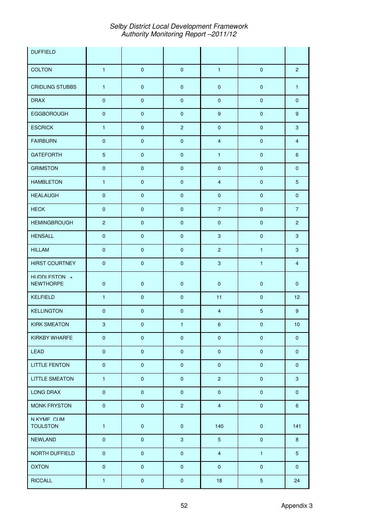| <b>DUFFIELD</b>                    |                |             |                     |                  |                |                |
|------------------------------------|----------------|-------------|---------------------|------------------|----------------|----------------|
| <b>COLTON</b>                      | $\mathbf{1}$   | $\pmb{0}$   | $\pmb{0}$           | $\mathbf{1}$     | $\mathbf 0$    | $\overline{2}$ |
| <b>CRIDLING STUBBS</b>             | $\mathbf{1}$   | $\pmb{0}$   | $\pmb{0}$           | $\pmb{0}$        | $\pmb{0}$      | $\mathbf{1}$   |
| <b>DRAX</b>                        | $\pmb{0}$      | $\mathbf 0$ | $\mathsf{O}\xspace$ | $\pmb{0}$        | $\mathbf{0}$   | $\mathbf{0}$   |
| <b>EGGBOROUGH</b>                  | $\pmb{0}$      | $\pmb{0}$   | $\mathsf{O}\xspace$ | $9\,$            | $\pmb{0}$      | 9              |
| <b>ESCRICK</b>                     | $\mathbf{1}$   | $\pmb{0}$   | $\overline{2}$      | $\pmb{0}$        | $\pmb{0}$      | $\mathbf{3}$   |
| <b>FAIRBURN</b>                    | $\mathbf 0$    | $\mathbf 0$ | $\mathbf 0$         | $\overline{4}$   | $\pmb{0}$      | $\overline{4}$ |
| <b>GATEFORTH</b>                   | $\overline{5}$ | $\mathbf 0$ | $\mathbf 0$         | $\mathbf{1}$     | $\pmb{0}$      | 6              |
| <b>GRIMSTON</b>                    | $\pmb{0}$      | $\pmb{0}$   | $\mathsf{O}\xspace$ | $\pmb{0}$        | $\mathbf{0}$   | $\mathbf{0}$   |
| <b>HAMBLETON</b>                   | $\mathbf{1}$   | $\pmb{0}$   | $\mathsf{O}\xspace$ | $\overline{4}$   | $\mathbf 0$    | 5              |
| <b>HEALAUGH</b>                    | $\pmb{0}$      | $\pmb{0}$   | $\pmb{0}$           | $\pmb{0}$        | $\pmb{0}$      | $\mathbf 0$    |
| <b>HECK</b>                        | $\mathbf 0$    | $\mathbf 0$ | $\mathbf 0$         | $\overline{7}$   | $\mathbf{0}$   | $\overline{7}$ |
| <b>HEMINGBROUGH</b>                | $\overline{2}$ | $\pmb{0}$   | $\pmb{0}$           | $\pmb{0}$        | $\pmb{0}$      | $\overline{2}$ |
| <b>HENSALL</b>                     | $\pmb{0}$      | $\pmb{0}$   | $\mathbf{0}$        | $\mathbf{3}$     | $\pmb{0}$      | $\mathbf{3}$   |
| <b>HILLAM</b>                      | $\pmb{0}$      | $\pmb{0}$   | $\pmb{0}$           | $\overline{2}$   | $\mathbf{1}$   | $\mathbf{3}$   |
| <b>HIRST COURTNEY</b>              | $\pmb{0}$      | $\pmb{0}$   | $\pmb{0}$           | $\mathbf{3}$     | $\mathbf{1}$   | $\overline{4}$ |
| HIJDDI FSTON +<br><b>NEWTHORPE</b> | $\pmb{0}$      | $\pmb{0}$   | $\pmb{0}$           | $\pmb{0}$        | $\pmb{0}$      | $\overline{0}$ |
| <b>KELFIELD</b>                    | $\mathbf{1}$   | $\mathbf 0$ | $\pmb{0}$           | 11               | $\pmb{0}$      | 12             |
| <b>KELLINGTON</b>                  | $\pmb{0}$      | $\pmb{0}$   | $\pmb{0}$           | $\overline{4}$   | 5              | 9              |
| <b>KIRK SMEATON</b>                | $\sqrt{3}$     | $\mathbf 0$ | $\mathbf{1}$        | $\boldsymbol{6}$ | $\pmb{0}$      | 10             |
| <b>KIRKBY WHARFE</b>               | $\pmb{0}$      | $\mathbf 0$ | $\pmb{0}$           | $\pmb{0}$        | $\pmb{0}$      | $\mathbf{0}$   |
| LEAD                               | $\pmb{0}$      | $\pmb{0}$   | $\pmb{0}$           | $\pmb{0}$        | $\pmb{0}$      | $\mathbf 0$    |
| <b>LITTLE FENTON</b>               | $\pmb{0}$      | $\pmb{0}$   | $\pmb{0}$           | $\pmb{0}$        | $\pmb{0}$      | $\mathbf 0$    |
| <b>LITTLE SMEATON</b>              | $\mathbf{1}$   | $\pmb{0}$   | $\pmb{0}$           | $\overline{2}$   | $\pmb{0}$      | $\mathbf{3}$   |
| LONG DRAX                          | $\pmb{0}$      | $\pmb{0}$   | $\pmb{0}$           | $\pmb{0}$        | $\pmb{0}$      | $\mathbf{0}$   |
| <b>MONK FRYSTON</b>                | $\pmb{0}$      | $\pmb{0}$   | $\overline{2}$      | $\overline{4}$   | $\pmb{0}$      | 6              |
| N KYMF CUM<br><b>TOULSTON</b>      | $\mathbf{1}$   | $\pmb{0}$   | $\pmb{0}$           | 140              | $\pmb{0}$      | 141            |
| <b>NEWLAND</b>                     | $\pmb{0}$      | $\pmb{0}$   | $\mathbf{3}$        | $5\phantom{.0}$  | $\pmb{0}$      | 8              |
| NORTH DUFFIELD                     | $\pmb{0}$      | $\pmb{0}$   | $\pmb{0}$           | $\overline{4}$   | $\mathbf{1}$   | 5              |
| <b>OXTON</b>                       | $\pmb{0}$      | $\pmb{0}$   | $\pmb{0}$           | $\pmb{0}$        | $\pmb{0}$      | $\overline{0}$ |
| <b>RICCALL</b>                     | $\mathbf{1}$   | $\pmb{0}$   | $\mathbf 0$         | 18               | $\overline{5}$ | 24             |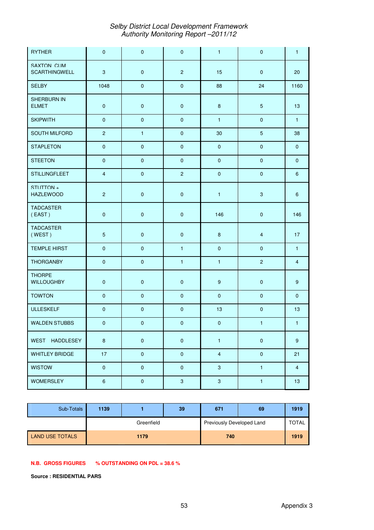| <b>RYTHER</b>                             | $\mathbf 0$      | $\pmb{0}$    | $\pmb{0}$      | $\mathbf{1}$     | $\pmb{0}$      | $\mathbf{1}$     |
|-------------------------------------------|------------------|--------------|----------------|------------------|----------------|------------------|
| <b>SAXTON CUM</b><br><b>SCARTHINGWELL</b> | $\sqrt{3}$       | $\pmb{0}$    | $\overline{2}$ | 15               | $\mathbf{0}$   | 20               |
| <b>SELBY</b>                              | 1048             | $\pmb{0}$    | $\pmb{0}$      | 88               | 24             | 1160             |
| SHERBURN IN<br><b>ELMET</b>               | $\mathbf 0$      | $\pmb{0}$    | $\pmb{0}$      | 8                | $\overline{5}$ | 13               |
| <b>SKIPWITH</b>                           | $\pmb{0}$        | $\pmb{0}$    | $\pmb{0}$      | $\mathbf{1}$     | $\pmb{0}$      | $\mathbf{1}$     |
| SOUTH MILFORD                             | $\overline{2}$   | $\mathbf{1}$ | $\pmb{0}$      | 30               | $\overline{5}$ | 38               |
| <b>STAPLETON</b>                          | $\mathbf 0$      | $\pmb{0}$    | $\pmb{0}$      | $\pmb{0}$        | $\pmb{0}$      | $\mathbf{0}$     |
| <b>STEETON</b>                            | $\pmb{0}$        | $\pmb{0}$    | $\pmb{0}$      | $\pmb{0}$        | $\pmb{0}$      | $\mathbf{0}$     |
| <b>STILLINGFLEET</b>                      | $\overline{4}$   | $\pmb{0}$    | $\overline{2}$ | $\pmb{0}$        | $\pmb{0}$      | $\boldsymbol{6}$ |
| STUTTON+<br><b>HAZLEWOOD</b>              | $\overline{2}$   | $\mathbf 0$  | $\pmb{0}$      | $\mathbf{1}$     | 3              | 6                |
| <b>TADCASTER</b><br>(EAST)                | $\pmb{0}$        | $\pmb{0}$    | $\pmb{0}$      | 146              | $\pmb{0}$      | 146              |
| <b>TADCASTER</b><br>(WEST)                | $\overline{5}$   | $\pmb{0}$    | $\pmb{0}$      | 8                | $\overline{4}$ | 17               |
| <b>TEMPLE HIRST</b>                       | $\pmb{0}$        | $\pmb{0}$    | $\mathbf{1}$   | $\pmb{0}$        | $\pmb{0}$      | $\mathbf{1}$     |
| <b>THORGANBY</b>                          | $\mathbf{0}$     | $\mathbf 0$  | $\mathbf{1}$   | $\mathbf{1}$     | $\overline{c}$ | $\overline{4}$   |
| <b>THORPF</b><br><b>WILLOUGHBY</b>        | $\pmb{0}$        | $\pmb{0}$    | $\pmb{0}$      | $\boldsymbol{9}$ | $\pmb{0}$      | $9\,$            |
| <b>TOWTON</b>                             | $\mathbf{0}$     | $\mathbf 0$  | $\mathbf 0$    | $\mathbf 0$      | $\mathbf{0}$   | $\overline{0}$   |
| <b>ULLESKELF</b>                          | $\pmb{0}$        | $\pmb{0}$    | $\pmb{0}$      | 13               | $\pmb{0}$      | 13               |
| <b>WALDEN STUBBS</b>                      | $\pmb{0}$        | $\pmb{0}$    | $\pmb{0}$      | $\pmb{0}$        | $\mathbf{1}$   | $\mathbf{1}$     |
| WEST HADDLESEY                            | $8\phantom{1}$   | $\pmb{0}$    | $\pmb{0}$      | $\mathbf{1}$     | $\pmb{0}$      | 9                |
| <b>WHITLEY BRIDGE</b>                     | 17               | $\pmb{0}$    | $\pmb{0}$      | $\overline{4}$   | $\pmb{0}$      | 21               |
| <b>WISTOW</b>                             | $\pmb{0}$        | $\mathbf 0$  | $\mathbf{0}$   | $\mathbf{3}$     | $\mathbf{1}$   | $\overline{4}$   |
| <b>WOMERSLEY</b>                          | $\boldsymbol{6}$ | $\pmb{0}$    | $\mathbf{3}$   | $\mathbf{3}$     | $\mathbf{1}$   | 13               |

| Sub-Totals      | 1139 |            | 39 | 671                       | 69 | 1919         |
|-----------------|------|------------|----|---------------------------|----|--------------|
|                 |      | Greenfield |    | Previously Developed Land |    | <b>TOTAL</b> |
| LAND USE TOTALS |      | 1179       |    | 740                       |    | 1919         |

#### **N.B. GROSS FIGURES % OUTSTANDING ON PDL = 38.6 %**

**Source : RESIDENTIAL PARS**